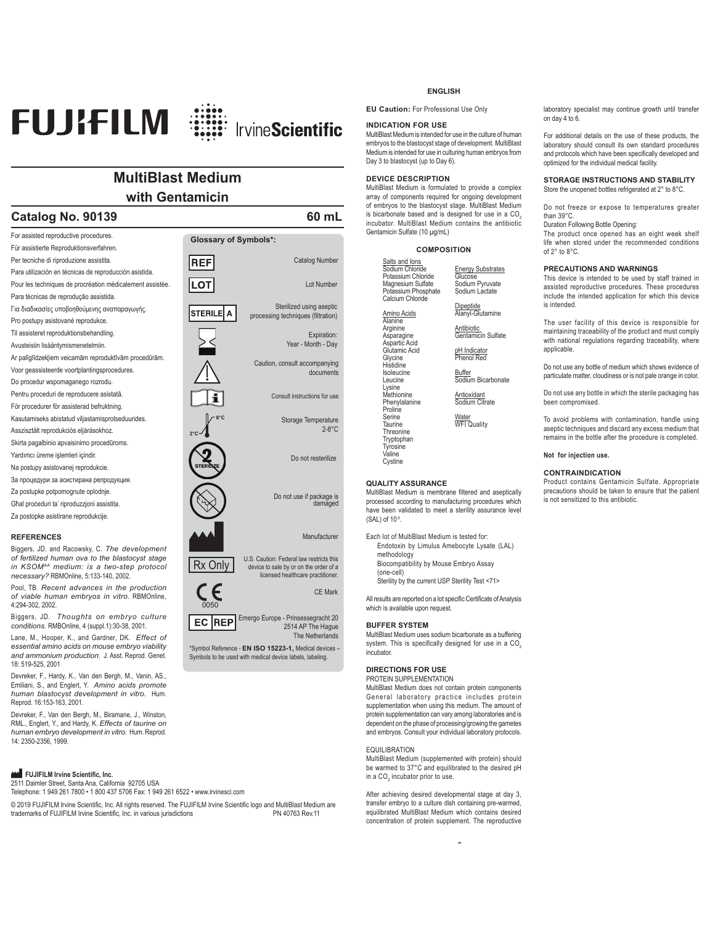

# **MultiBlast Medium with Gentamicin**

# **Catalog No. 90139 60 mL**

For assisted reproductive procedures. **Glossary of Symbols\*:** Für assistierte Reproduktionsverfahren. Per tecniche di riproduzione assistita. **REF** Catalog Number Para utilización en técnicas de reproducción asistida. Pour les techniques de procréation médicalement assistée. LOT Lot Number Para técnicas de reprodução assistida. Sterilized using aseptic Για διαδικασίες υποβοηθούμενης αναπαραγωγής. Isterilel a processing techniques (filtration) Pro postupy asistované reprodukce. Til assisteret reproduktionsbehandling. Expiration: Avusteisiin lisääntymismenetelmiin. Year - Month - Day Ar palīglīdzekliem veicamām reproduktīvām procedūrām. Caution, consult accompanying Voor geassisteerde voortplantingsprocedures. documents Do procedur wspomaganego rozrodu. Pentru proceduri de reproducere asistată. Consult instructions for useFör procedurer för assisterad befruktning. Kasutamiseks abistatud viljastamisprotseduurides. **8°C** Storage Temperature 2-8°C Asszisztált reprodukciós eljárásokhoz. **2°C** Skirta pagalbinio apvaisinimo procedūroms. Yardımcı üreme işlemleri içindir. Do not resterilize Na postupy asistovanej reprodukcie. За процедури за асистирана репродукция. Za postupke potpomognute oplodnie. Do not use if package is damaged Għal proceduri ta' riproduzzioni assistita. Za postopke asistirane reprodukcije. **REFERENCES** Manufacturer Biggers, JD. and Racowsky, C. *The development of fertilized human ova to the blastocyst stage*  **Rx Only** U.S. Caution: Federal law restricts this<br>
device to sale by or on the order of a *in KSOMAA medium: is a two-step protocol necessary?* RBMOnline, 5:133-140, 2002. licensed healthcare practitioner. Pool, TB. *Recent advances in the production*   $\epsilon$ CE Mark *of viable human embryos in vitro.* RBMOnline, 4:294-302, 2002. 0050

Biggers, JD. *Thoughts on embryo culture conditions.* RMBOnline, 4 (suppl.1):30-38, 2001.

Lane, M., Hooper, K., and Gardner, DK. *Effect of essential amino acids on mouse embryo viability and ammonium production*. J. Asst. Reprod. Genet. 18: 519-525, 2001

Devreker, F., Hardy, K., Van den Bergh, M., Vanin, AS., Emiliani, S., and Englert, Y. *Amino acids promote human blastocyst development in vitro.* Hum. Reprod. 16:153-163, 2001.

Devreker, F., Van den Bergh, M., Biramane, J., Winston, RML., Englert, Y., and Hardy, K. *Effects of taurine on human embryo development in vitro.* Hum. Reprod. 14: 2350-2356, 1999.

## **FUJIFILM Irvine Scientific, Inc.**

2511 Daimler Street, Santa Ana, California 92705 USA Telephone: 1 949 261 7800 • 1 800 437 5706 Fax: 1 949 261 6522 • www.irvinesci.com

© 2019 FUJIFILM Irvine Scientific, Inc. All rights reserved. The FUJIFILM Irvine Scientific logo and MultiBlast Medium are trademarks of FUJIFILM Irvine Scientific, Inc. in various jurisdictions (and Irvine Scientific logo trademarks of FUJIFILM Irvine Scientific, Inc. in various jurisdictions

### **ENGLISH**

**EU Caution:** For Professional Use Only

## **INDICATION FOR USE**

MultiBlast Medium is intended for use in the culture of human embryos to the blastocyst stage of development. MultiBlast Medium is intended for use in culturing human embryos from Day 3 to blastocyst (up to Day 6).

## **DEVICE DESCRIPTION**

MultiBlast Medium is formulated to provide a complex array of components required for ongoing development of embryos to the blastocyst stage. MultiBlast Medium is bicarbonate based and is designed for use in a  $CO<sub>2</sub>$ incubator. MultiBlast Medium contains the antibiotic Gentamicin Sulfate (10 μg/mL)

> Energy Substrates Glucose Sodium Pyruvate Sodium Lactate Dipeptide Alanyl-Glutamine Antibiotic<br>Gentamicin Sulfate pH Indicator henol Red <u>Buffer</u><br>Sodium Bicarbonate Antioxidant Sodium Citrate <u>Water</u><br>WFI Quality

## **COMPOSITION**

| Salts and lons<br>Sodium Chloride<br>Potassium Chloride<br>Magnesium Sulfate<br>Potassium Phosphate<br>Calcium Chloride                                                                                                                                                  |
|--------------------------------------------------------------------------------------------------------------------------------------------------------------------------------------------------------------------------------------------------------------------------|
| Amino Acids<br>Alanine<br>Arginine<br>Asparagine<br>Aspartic Acid<br>Glutamic Acid<br>Glycine<br>Histidine<br>Isoleucine<br>Leucine<br>Lysine<br>Methionine<br>Phenylalanine<br>Proline<br>Serine<br>Taurine<br>Threonine<br>Tryptophan<br>Tyrosine<br>Valine<br>Cystine |

#### **QUALITY ASSURANCE**

MultiBlast Medium is membrane filtered and aseptically processed according to manufacturing procedures which have been validated to meet a sterility assurance level (SAL) of 10-3.

Each lot of MultiBlast Medium is tested for: Endotoxin by Limulus Amebocyte Lysate (LAL) methodology Biocompatibility by Mouse Embryo Assay (one-cell) Sterility by the current USP Sterility Test <71>

All results are reported on a lot specific Certificate of Analysis which is available upon request.

## **BUFFER SYSTEM**

Emergo Europe - Prinsessegracht 20

\*Symbol Reference - **EN ISO 15223-1,** Medical devices – Symbols to be used with medical device labels, labeling.

 $EC$  REP

2514 AP The Hague The Netherlands

MultiBlast Medium uses sodium bicarbonate as a buffering system. This is specifically designed for use in a  $CO<sub>2</sub>$ incubator.

## **DIRECTIONS FOR USE**

PROTEIN SUPPLEMENTATION MultiBlast Medium does not contain protein components General laboratory practice includes protein supplementation when using this medium. The amount of protein supplementation can vary among laboratories and is dependent on the phase of processing/growing the gametes and embryos. Consult your individual laboratory protocols.

## EQUILIBRATION

MultiBlast Medium (supplemented with protein) should be warmed to 37°C and equilibrated to the desired pH in a CO<sub>2</sub> incubator prior to use.

After achieving desired developmental stage at day 3, transfer embryo to a culture dish containing pre-warmed, equilibrated MultiBlast Medium which contains desired concentration of protein supplement. The reproductive

**Ê**

laboratory specialist may continue growth until transfer on day 4 to 6.

For additional details on the use of these products, the laboratory should consult its own standard procedures and protocols which have been specifically developed and optimized for the individual medical facility.

#### **STORAGE INSTRUCTIONS AND STABILITY** Store the unopened bottles refrigerated at 2° to 8°C.

Do not freeze or expose to temperatures greater than 39°C.

Duration Following Bottle Opening:

The product once opened has an eight week shelf life when stored under the recommended conditions of 2° to 8°C.

## **PRECAUTIONS AND WARNINGS**

This device is intended to be used by staff trained in assisted reproductive procedures. These procedures include the intended application for which this device is intended.

The user facility of this device is responsible for maintaining traceability of the product and must comply with national regulations regarding traceability, where applicable.

Do not use any bottle of medium which shows evidence of particulate matter, cloudiness or is not pale orange in color.

Do not use any bottle in which the sterile packaging has been compromised.

To avoid problems with contamination, handle using aseptic techniques and discard any excess medium that remains in the bottle after the procedure is completed.

## **Not for injection use.**

## **CONTRAINDICATION**

Product contains Gentamicin Sulfate. Appropriate precautions should be taken to ensure that the patient is not sensitized to this antibiotic.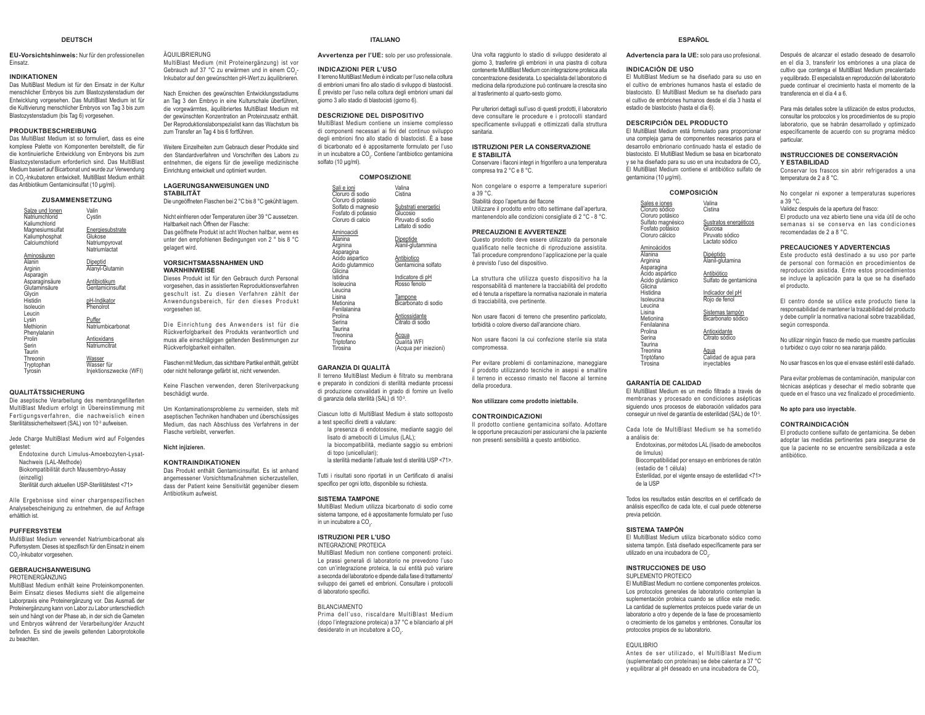### **DEUTSCH**

**EU-Vorsichtshinweis:** Nur für den professionellen Einsatz.

## **INDIKATIONEN**

 Das MultiBlast Medium ist für den Einsatz in der Kultur menschlicher Embryos bis zum Blastozystenstadium der Entwicklung vorgesehen. Das MultiBlast Medium ist für die Kultivierung menschlicher Embryos von Tag 3 bis zum Blastozystenstadium (bis Tag 6) vorgesehen.

### **PRODUKTBESCHREIBUNG**

 Das MultiBlast Medium ist so formuliert, dass es eine komplexe Palette von Komponenten bereitstellt, die für die kontinuierliche Entwicklung von Embryons bis zum Blastozystenstadium erforderlich sind. Das MultiBlast Medium basiert auf Bicarbonat und wurde zur Verwendung in CO2-Inkubatoren entwickelt. MultiBlast Medium enthält das Antibiotikum Gentamicinsulfat (10 μg/ml).

## **ZUSAMMENSETZUNG**

<u>Salze und Ionen</u><br>Natriumchlorid Kaliumchlorid Magnesiumsulfat Kaliumphosphat **Calciumchlorid** Valin Cystin **Energiesubstrate Glukose**  Natriumpyrovat Natriumlactat

| Aminosäuren        |                           |
|--------------------|---------------------------|
| Alanin             | Dipeptid                  |
| Arginin            | Alanyl-Glutamin           |
| Asparagin          |                           |
| Asparaginsäure     | Antibiotikum              |
| Glutaminsäure      | Gentamicinsulfat          |
| Glycin<br>Histidin |                           |
| Isoleucin          | pH-Indikator<br>PhenoIrot |
| Leucin             |                           |
| Lysin              | Puffer                    |
| Methionin          | Natriumbicarbonat         |
| Phenylalanin       |                           |
| Prolin             | Antioxidans               |
| Serin              | Natriumcitrat             |
| Taurin             |                           |
| Threonin           | Wasser                    |
| Tryptophan         | Wasser für                |
| Tyrosin            | Injektionszwecke (WFI)    |

#### **QUALITÄTSSICHERUNG**

 Die aseptische Verarbeitung des membrangefilterten MultiBlast Medium erfolgt in Übereinstimmung mit Fertigungsverfahren, die nachweislich einen Sterilitätssicherheitswert (SAL) von 10<sup>-3</sup> aufweisen.

Jede Charge MultiBlast Medium wird auf Folgendes getestet:

- Endotoxine durch Limulus-Amoebozyten-Lysat-Nachweis (LAL-Methode)
- Biokompatibilität durch Mausembryo-Assay
- (einzellig)
- Sterilität durch aktuellen USP-Sterilitätstest <71>

Alle Ergebnisse sind einer chargenspezifischen Analysebescheinigung zu entnehmen, die auf Anfrage erhältlich ist.

#### **PUFFERSYSTEM**

 MultiBlast Medium verwendet Natriumbicarbonat als Puffersystem. Dieses ist spezifisch für den Einsatz in einem CO<sub>2</sub>-Inkubator vorgesehen.

#### **GEBRAUCHSANWEISUNG**PROTEINERGÄNZUNG

 MultiBlast Medium enthält keine Proteinkomponenten. Beim Einsatz dieses Mediums sieht die allgemeine Laborpraxis eine Proteinergänzung vor. Das Ausmaß der Proteinergänzung kann von Labor zu Labor unterschiedlich sein und hängt von der Phase ab, in der sich die Gameten und Embryos während der Verarbeitung/der Anzucht befinden. Es sind die ieweils geltenden Laborprotokolle zu beachten.

ÄQUILIBRIERUNG MultiBlast Medium (mit Proteinergänzung) ist vor Gebrauch auf 37 °C zu erwärmen und in einem CO<sub>2</sub>-Inkubator auf den gewünschten pH-Wert zu äquilibrieren.

Nach Erreichen des gewünschten Entwicklungsstadiums an Tag 3 den Embryo in eine Kulturschale überführen, die vorgewärmtes, äquilibriertes MultiBlast Medium mit der gewünschten Konzentration an Proteinzusatz enthält. Der Reproduktionslaborspezialist kann das Wachstum bis zum Transfer an Tag 4 bis 6 fortführen.

Weitere Einzelheiten zum Gebrauch dieser Produkte sind den Standardverfahren und Vorschriften des Labors zu entnehmen, die eigens für die jeweilige medizinische Einrichtung entwickelt und optimiert wurden.

#### **LAGERUNGSANWEISUNGEN UND STABILITÄT**

Die ungeöffneten Flaschen bei 2 °C bis 8 °C gekühlt lagern.

Nicht einfrieren oder Temperaturen über 39 °C aussetzen. Haltbarkeit nach Öffnen der Flasche: Das geöffnete Produkt ist acht Wochen haltbar, wenn es unter den empfohlenen Bedingungen von 2 ° bis 8 °C gelagert wird.

#### **VORSICHTSMASSNAHMEN UND WARNHINWEISE**

 Dieses Produkt ist für den Gebrauch durch Personal vorgesehen, das in assistierten Reproduktionsverfahren geschult ist. Zu diesen Verfahren zählt der Anwendungsbereich, für den dieses Produkt vorgesehen ist.

Die Einrichtung des Anwenders ist für die Rückverfolgbarkeit des Produkts verantwortlich und muss alle einschlägigen geltenden Bestimmungen zur Rückverfolgbarkeit einhalten.

Flaschen mit Medium, das sichtbare Partikel enthält, getrübt oder nicht hellorange gefärbt ist, nicht verwenden.

Keine Flaschen verwenden, deren Sterilverpackung beschädigt wurde.

Um Kontaminationsprobleme zu vermeiden, stets mit aseptischen Techniken handhaben und überschüssiges Medium, das nach Abschluss des Verfahrens in der Flasche verbleibt, verwerfen.

**Nicht injizieren.**

## **KONTRAINDIKATIONEN**

 Das Produkt enthält Gentamicinsulfat. Es ist anhand angemessener Vorsichtsmaßnahmen sicherzustellen, dass der Patient keine Sensitivität gegenüber diesem Antibiotikum aufweist.

**SISTEMA TAMPONE**

 MultiBlast Medium utilizza bicarbonato di sodio come sistema tampone, ed è appositamente formulato per l'uso in un incubatore a CO $_{\textrm{\tiny{2}}}$ .

Tutti i risultati sono riportati in un Certificato di analisi specifico per ogni lotto, disponibile su richiesta.

 Il terreno MultiBlast Medium è filtrato su membrana e preparato in condizioni di sterilità mediante processi di produzione convalidati in grado di fornire un livello

**ITALIANOAvvertenza per l'UE:** solo per uso professionale.

Il terreno MultiBlast Medium è indicato per l'uso nella coltura di embrioni umani fino allo stadio di sviluppo di blastocisti. È previsto per l'uso nella coltura degli embrioni umani dal giorno 3 allo stadio di blastocisti (giorno 6). **DESCRIZIONE DEL DISPOSITIVO** MultiBlast Medium contiene un insieme complesso di componenti necessari ai fini del continuo sviluppo degli embrioni fino allo stadio di blastocisti. È a base di bicarbonato ed è appositamente formulato per l'uso in un incubatore a CO<sub>2</sub>. Contiene l'antibiotico gentamicina

**COMPOSIZIONE**

Valina**Cistina** Substrati energetici Glucosio Piruvato di sodioLattato di sodioDipeptide Alanil-glutammina

Indicatore di pH Rosso fenolo<u>Tampone</u><br>Bicarbonato di sodio <u>Antiossidante</u><br>Citrato di sodio <u>Acqua</u><br>Qualità WFI (Acqua per iniezioni)

**INDICAZIONI PER L'USO**

solfato (10 μg/ml).

<u>Sali e ioni</u><br>Cloruro di sodio Cloruro di potassio Solfato di magnesio Fosfato di potassio Cloruro di calcio Aminoacidi Alanina Arginina Asparagina Acido aspartico Acido glutammico Glicina Istidina IsoleucinaLeucina Lisina Metionina Fenilalanina Prolina Serina Taurina**Treonina**  Triptofano Tirosina

#### **ISTRUZIONI PER L'USO**INTEGRAZIONE PROTEICA

**GARANZIA DI QUALITÀ**

di garanzia della sterilità (SAL) di 10-3.

lisato di amebociti di Limulus (LAL);

a test specifici diretti a valutare:

di topo (unicellulari);

 MultiBlast Medium non contiene componenti proteici. Le prassi generali di laboratorio ne prevedono l'uso con un'integrazione proteica. la cui entità può variare a seconda del laboratorio e dipende dalla fase di trattamento/ sviluppo dei gameti ed embrioni. Consultare i protocolli di laboratorio specifici.

#### BILANCIAMENTO

Prima dell'uso, riscaldare MultiBlast Medium GRADE CHARGES AND CONTROLLONG THE LOCAL CORPORATION CONTROLLOR CONTROLLOR UP AND CONTROLLOR UP AT  $\sim$  CONTROLLORS CONTROLLORS CONTROLLORS CONTROLLORS CONTROLLORS CONTROLLORS CONTROLLORS CONTROLLORS CONTROLLORS CONTROLLORS desiderato in un incubatore a CO.

Una volta raggiunto lo stadio di sviluppo desiderato al giorno 3, trasferire gli embrioni in una piastra di coltura contenente MultiBlast Medium con integrazione proteica alla concentrazione desiderata. Lo specialista del laboratorio di medicina della rinroduzione nuò continuare la crescita sino al trasferimento al quarto-sesto giorno.

Per ulteriori dettagli sull'uso di questi prodotti, il laboratorio deve consultare le procedure e i protocolli standard specificamente sviluppati e ottimizzati dalla struttura sanitaria.

#### **ISTRUZIONI PER LA CONSERVAZIONE E STABILITÀ**Conservare i flaconi integri in frigorifero a una temperatura

Non congelare o esporre a temperature superiori a 39 °C.Stabilità dopo l'apertura del flacone 1 Itilizzare il prodotto entro otto settimane dall'anertura mantenendolo alle condizioni consigliate di 2 °C - 8 °C.

qualificato nelle tecniche di riproduzione assistita. Tali procedure comprendono l'applicazione per la quale

La struttura che utilizza questo dispositivo ha la responsabilità di mantenere la tracciabilità del prodotto ed è tenuta a rispettare la normativa nazionale in materia di tracciabilità, ove pertinente.

were the colore diverso dall'arancione chiaro.

Non usare flaconi la cui confezione sterile sia stata compromessa.

le opportune precauzioni per assicurarsi che la paziente

 Endotoxinas, por métodos LAL (lisado de amebocitos de limulus) Biocompatibilidad por ensayo en embriones de ratón (estadio de 1 célula) Esterilidad, por el vigente ensayo de esterilidad <71>

a análisis de:

**GARANTÍA DE CALIDAD**

de la USP

Todos los resultados están descritos en el certificado de análisis específico de cada lote, el cual puede obtenerse previa petición.

El MultiBlast Medium es un medio filtrado a través de membranas y procesado en condiciones asépticas siguiendo unos procesos de elaboración validados para conseguir un nivel de garantía de esterilidad (SAL) de 10-3. Cada lote de MultiBlast Medium se ha sometido

**ESPAÑOLAdvertencia para la UE:** solo para uso profesional.

 El MultiBlast Medium se ha diseñado para su uso en el cultivo de embriones humanos hasta el estadio de blastocisto. El MultiBlast Medium se ha diseñado para el cultivo de embriones humanos desde el día 3 hasta el

**COMPOSICIÓN**

Valina CistinaSustratos energéticos Glucosa Piruvato sódico Lactato sódicoDipéptido Alanil-glutamina <u>Antibiótico</u><br>Sulfato de gentamicina <u>Indicador del pH</u><br>Rojo de fenol Sistemas tampón<br>Bicarbonato sódico Antioxidante Citrato sódico<u>Agua</u><br>Calidad de agua para inyectables

**INDICACIÓN DE USO**

gentamicina (10 μg/ml).

Sales e iones Cloruro sódico Cloruro potásico Sulfato magnésico Fosfato potásico Cloruro cálcico AminoácidosAlanina Arginina Asparagina Ácido aspártico Ácido glutámico **Glicina**  Histidina IsoleucinaLeucina Lisina Metionina FenilalaninaProlina Serina Taurina**Treonina**  Triptófano Tirosina

estadio de blastocisto (hasta el día 6). **DESCRIPCIÓN DEL PRODUCTO** El MultiBlast Medium está formulado para proporcionar una compleia gama de componentes necesarios para el desarrollo embrionario continuado hasta el estadio de blastocisto. El MultiBlast Medium se basa en bicarbonato y se ha diseñado para su uso en una incubadora de CO<sub>2</sub>. El MultiBlast Medium contiene el antibiótico sulfato de

#### **SISTEMA TAMPÓN**

 El MultiBlast Medium utiliza bicarbonato sódico como sistema tampón. Está diseñado específicamente para ser utilizado en una incubadora de CO $_2$ .

### **INSTRUCCIONES DE USO**

SUPLEMENTO PROTEICO El MultiBlast Medium no contiene componentes proteicos. Los protocolos generales de laboratorio contemplan la suplementación proteica cuando se utilice este medio. La cantidad de suplementos proteicos puede variar de un laboratorio a otro y depende de la fase de procesamiento o crecimiento de los gametos y embriones. Consultar los protocolos propios de su laboratorio.

EQUILIBRIO

 Antes de ser utilizado, el MultiBlast Medium (suplementado con proteínas) se debe calentar a 37 °C y equilibrar al pH deseado en una incubadora de CO<sub>2</sub>.

#### Después de alcanzar el estadio deseado de desarrollo en el día 3, transferir los embriones a una placa de cultivo que contenga el MultiBlast Medium precalentado y equilibrado. El especialista en reproducción del laboratorio puede continuar el crecimiento hasta el momento de la transferencia en el día 4 a 6.

Para más detalles sobre la utilización de estos productos, consultar los protocolos y los procedimientos de su propio laboratorio, que se habrán desarrollado y optimizado específicamente de acuerdo con su programa médico particular.

#### **INSTRUCCIONES DE CONSERVACIÓN Y ESTABILIDAD**

 Conservar los frascos sin abrir refrigerados a una temperatura de 2 a 8 °C.

No congelar ni exponer a temperaturas superiores a 39 °C.

 Validez después de la apertura del frasco: El producto una vez abierto tiene una vida útil de ocho semanas si se conserva en las condiciones recomendadas de 2 a 8 °C.

### **PRECAUCIONES Y ADVERTENCIAS**

 Este producto está destinado a su uso por parte de personal con formación en procedimientos de reproducción asistida. Entre estos procedimientos se incluye la aplicación para la que se ha diseñado el producto.

El centro donde se utilice este producto tiene la responsabilidad de mantener la trazabilidad del producto y debe cumplir la normativa nacional sobre trazabilidad, según corresponda.

No utilizar ningún frasco de medio que muestre partículas o turbidez o cuyo color no sea naranja pálido.

No usar frascos en los que el envase estéril esté dañado.

Para evitar problemas de contaminación, manipular con técnicas asépticas y desechar el medio sobrante que quede en el frasco una vez finalizado el procedimiento.

**No apto para uso inyectable.**

#### **CONTRAINDICACIÓN**

 El producto contiene sulfato de gentamicina. Se deben adoptar las medidas pertinentes para asegurarse de que la paciente no se encuentre sensibilizada a este antibiótico.

# <u>Antibiotico</u><br>Gentamicina solfato **PRECAUZIONI E AVVERTENZE** Questo prodotto deve essere utilizzato da personale è previsto l'uso del dispositivo.

compresa tra 2 °C e 8 °C.

Non usare flaconi di terreno che presentino particolato,

non presenti sensibilità a questo antibiotico.

Per evitare problemi di contaminazione, maneggiare il prodotto utilizzando tecniche in asepsi e smaltire il terreno in eccesso rimasto nel flacone al termine della procedura.

**CONTROINDICAZIONI**

 la biocompatibilità, mediante saggio su embrioni la sterilità mediante l'attuale test di sterilità USP <71>.

Ciascun lotto di MultiBlast Medium è stato sottoposto la presenza di endotossine, mediante saggio del

**Non utilizzare come prodotto iniettabile.** Il prodotto contiene gentamicina solfato. Adottare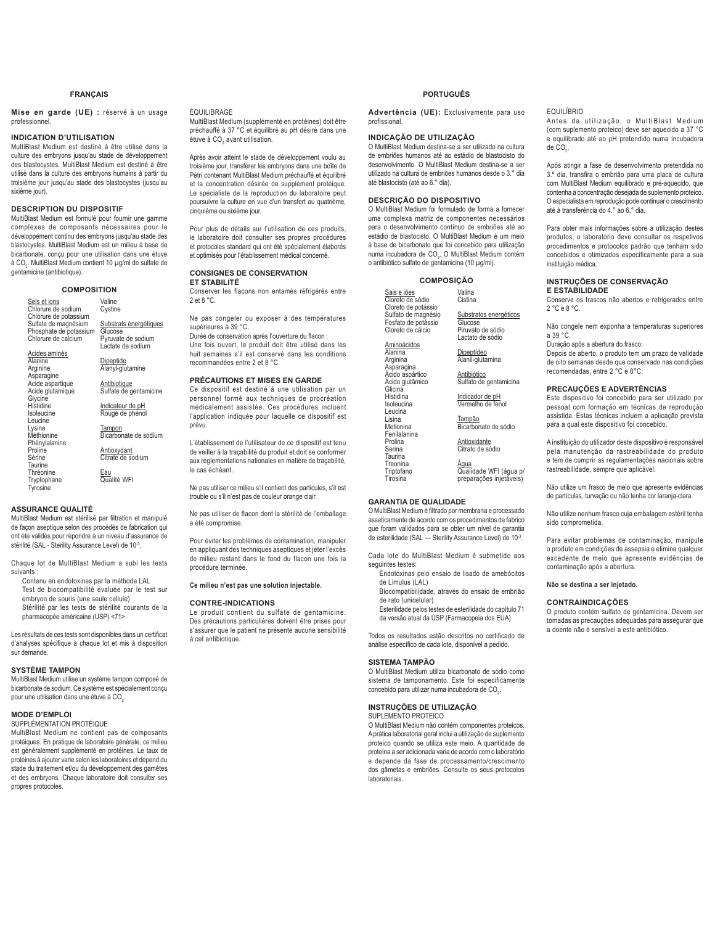## **FRANÇAIS**

**Mise en garde (UE) :** réservé à un usage professionnel.

## **INDICATION D'UTILISATION**

MultiBlast Medium est destiné à être utilisé dans la culture des embryons jusqu'au stade de développement des blastocystes. MultiBlast Medium est destiné à être utilisé dans la culture des embryons humains à partir du troisième jour jusqu'au stade des blastocystes (jusqu'au sixième jour).

#### **DESCRIPTION DU DISPOSITIF**

MultiBlast Medium est formulé pour fournir une gamme complexes de composants nécessaires pour le développement continu des embryons jusqu'au stade des blastocystes. MultiBlast Medium est un milieu à base de bicarbonate, conçu pour une utilisation dans une étuve à CO<sub>2</sub>. MultiBlast Medium contient 10 μg/ml de sulfate de gentamicine (antibiotique).

## **COMPOSITION**

Sels et ions<br>Chlorure de sodium Chlorure de potassium Sulfate de magnésium Phosphate de potassium Chlorure de calcium Valine **Cystine** Substrats énergétiques Glucose Pyruvate de sodium Lactate de sodium

Acides aminés Alanine Arginine Asparagine Acide aspartique Acide glutamique Glycine **Histidine** Isoleucine Leucine Lysine<br>Méthionine Phénylalanine Proline Dipeptide

Alanyl-glutamine <u>Antibiotique</u><br>Sulfate de gentamicine Indicateur de pH Rouge de phénol <u>Tampon</u><br>Bicarbonate de sodium

**Antioxydant** Citrate de sodium

<u>Eau</u><br>Qualité WFI

## **ASSURANCE QUALITÉ**

Sérine Taurine Thréonine Tryptophane Tyrosine

MultiBlast Medium est stérilisé par filtration et manipulé de façon aseptique selon des procédés de fabrication qui ont été validés pour répondre à un niveau d'assurance de stérilité (SAL - Sterility Assurance Level) de 10-3.

Chaque lot de MultiBlast Medium a subi les tests suivants :

 Contenu en endotoxines par la méthode LAL Test de biocompatibilité évaluée par le test sur embryon de souris (une seule cellule)

 Stérilité par les tests de stérilité courants de la pharmacopée américaine (USP) <71>

Les résultats de ces tests sont disponibles dans un certificat d'analyses spécifique à chaque lot et mis à disposition sur demande.

## **SYSTÈME TAMPON**

MultiBlast Medium utilise un système tampon composé de bicarbonate de sodium. Ce système est spécialement conçu pour une utilisation dans une étuve à  $CO<sub>2</sub>$ .

#### **MODE D'EMPLOI** SUPPLÉMENTATION PROTÉIQUE

MultiBlast Medium ne contient pas de composants protéiques. En pratique de laboratoire générale, ce milieu est généralement supplémenté en protéines. Le taux de protéines à ajouter varie selon les laboratoires et dépend du stade du traitement et/ou du développement des gamètes et des embryons. Chaque laboratoire doit consulter ses propres protocoles.

#### ÉQUILIBRAGE

MultiBlast Medium (supplémenté en protéines) doit être préchauffé à 37 °C et équilibré au pH désiré dans une étuve à CO<sub>2</sub> avant utilisation.

Après avoir atteint le stade de développement voulu au troisième jour, transférer les embryons dans une boîte de Pétri contenant MultiBlast Medium préchauffé et équilibré et la concentration désirée de supplément protéique. Le spécialiste de la reproduction du laboratoire peut poursuivre la culture en vue d'un transfert au quatrième, cinquième ou sixième jour.

Pour plus de détails sur l'utilisation de ces produits, le laboratoire doit consulter ses propres procédures et protocoles standard qui ont été spécialement élaborés et optimisés pour l'établissement médical concerné.

#### **CONSIGNES DE CONSERVATION ET STABILITÉ**

Conserver les flacons non entamés réfrigérés entre 2 et 8 °C.

Ne pas congeler ou exposer à des températures supérieures à 39 °C.

Durée de conservation après l'ouverture du flacon :

Une fois ouvert, le produit doit être utilisé dans les huit semaines s'il est conservé dans les conditions recommandées entre 2 et 8 °C.

## **PRÉCAUTIONS ET MISES EN GARDE**

Ce dispositif est destiné à une utilisation par un personnel formé aux techniques de procréation médicalement assistée. Ces procédures incluent l'application indiquée pour laquelle ce dispositif est prévu.

L'établissement de l'utilisateur de ce dispositif est tenu de veiller à la traçabilité du produit et doit se conformer aux réglementations nationales en matière de traçabilité, le cas échéant.

Ne pas utiliser ce milieu s'il contient des particules, s'il est trouble ou s'il n'est pas de couleur orange clair.

Ne pas utiliser de flacon dont la stérilité de l'emballage a été compromise.

Pour éviter les problèmes de contamination, manipuler en appliquant des techniques aseptiques et jeter l'excès de milieu restant dans le fond du flacon une fois la procédure terminée.

**Ce milieu n'est pas une solution injectable.**

#### **CONTRE-INDICATIONS**

Le produit contient du sulfate de gentamicine. Des précautions particulières doivent être prises pour S'assurer que le patient ne présente aucune sensibilité à cet antibiotique.

## **PORTUGUÊS**

**Advertência (UE):** Exclusivamente para uso profissional.

#### **INDICAÇÃO DE UTILIZAÇÃO**

O MultiBlast Medium destina-se a ser utilizado na cultura de embriões humanos até ao estádio de blastocisto do desenvolvimento. O MultiBlast Medium destina-se a ser utilizado na cultura de embriões humanos desde o 3.° dia até blastocisto (até ao 6.° dia).

## **DESCRIÇÃO DO DISPOSITIVO**

O MultiBlast Medium foi formulado de forma a fornecer uma complexa matriz de componentes necessários para o desenvolvimento contínuo de embriões até ao estádio de blastocisto. O MultiBlast Medium é um meio à base de bicarbonato que foi concebido para utilização<br>numa incubadora de CO<sub>2</sub>. O MultiBlast Medium contém o antibiótico sulfato de gentamicina (10 μg/ml).

**COMPOSIÇÃO**

| <b>UUINIFUJIYAU</b>                                             |                                                                            |
|-----------------------------------------------------------------|----------------------------------------------------------------------------|
| Sais e jões<br>Cloreto de sódio<br>Cloreto de potássio          | Valina<br>Cistina                                                          |
| Sulfato de magnésio<br>Fosfato de potássio<br>Cloreto de cálcio | Substratos energéticos<br>Glucose<br>Piruvato de sódio<br>Lactato de sódio |
| Aminoácidos                                                     |                                                                            |
| Alanina<br>Arginina<br>Asparagina                               | Dipeptídeo<br>Alanil-glutamina                                             |
| Acido aspártico<br>Acido glutâmico<br>Glicina                   | Antibiótico<br>Sulfato de gentamicina                                      |
| Histidina<br>Isoleucina                                         | Indicador de pH<br>Vermelho de fenol                                       |
| Leucina<br>Lisina<br>Metionina<br>Fenilalanina                  | Tampão<br>Bicarbonato de sódio                                             |
| Prolina<br>Serina                                               | Antioxidante<br>Citrato de sódio                                           |
| Taurina<br>Treonina<br>Triptofano<br>Tirosina                   | <u>Agua</u><br>Qualidade WFI (água ¡<br>preparações injetáveis             |

le WFI (água p/ preparações injetáveis)

## **GARANTIA DE QUALIDADE**

O MultiBlast Medium é filtrado por membrana e processado asseticamente de acordo com os procedimentos de fabrico que foram validados para se obter um nível de garantia de esterilidade (SAL — Sterility Assurance Level) de 10-3.

Cada lote do MultiBlast Medium é submetido aos sequintes testes:

 Endotoxinas pelo ensaio de lisado de amebócitos de Limulus (LAL)

 Biocompatibilidade, através do ensaio de embrião de rato (unicelular)

 Esterilidade pelos testes de esterilidade do capítulo 71 da versão atual da USP (Farmacopeia dos EUA)

Todos os resultados estão descritos no certificado de análise específico de cada lote, disponível a pedido.

## **SISTEMA TAMPÃO**

O MultiBlast Medium utiliza bicarbonato de sódio como sistema de tamponamento. Este foi especificamente concebido para utilizar numa incubadora de CO $_{_2}$ .

## **INSTRUÇÕES DE UTILIZAÇÃO**

SUPLEMENTO PROTEICO

O MultiBlast Medium não contém componentes proteicos. A prática laboratorial geral inclui a utilização de suplemento proteico quando se utiliza este meio. A quantidade de proteína a ser adicionada varia de acordo com o laboratório e depende da fase de processamento/crescimento dos gâmetas e embriões. Consulte os seus protocolos laboratoriais.

#### EQUILÍBRIO

Antes da utilização, o MultiBlast Medium (com suplemento proteico) deve ser aquecido a 37 °C e equilibrado até ao pH pretendido numa incubadora de CO<sub>2</sub>.

Após atingir a fase de desenvolvimento pretendida no  $3.°$  dia, transfira o embrião para uma placa de cultura com MultiBlast Medium equilibrado e pré-aquecido, que contenha a concentração desejada de suplemento proteico. O especialista em reprodução pode continuar o crescimento até à transferência do 4.° ao 6.° dia.

Para obter mais informações sobre a utilização destes produtos, o laboratório deve consultar os respetivos procedimentos e protocolos padrão que tenham sido concebidos e otimizados especificamente para a sua instituição médica.

## **INSTRUÇÕES DE CONSERVAÇÃO E ESTABILIDADE**

Conserve os frascos não abertos e refrigerados entre 2 °C e 8 °C.

Não congele nem exponha a temperaturas superiores a 39 °C.

Duração após a abertura do frasco:

Depois de aberto, o produto tem um prazo de validade de oito semanas desde que conservado nas condições recomendadas, entre 2 °C e 8°C.

#### **PRECAUÇÕES E ADVERTÊNCIAS**

Este dispositivo foi concebido para ser utilizado por pessoal com formação em técnicas de reprodução assistida. Estas técnicas incluem a aplicação prevista para a qual este dispositivo foi concebido.

A instituição do utilizador deste dispositivo é responsável pela manutenção da rastreabilidade do produto e tem de cumprir as regulamentações nacionais sobre rastreabilidade, sempre que aplicável.

Não utilize um frasco de meio que apresente evidências de partículas, turvação ou não tenha cor laranja-clara.

Não utilize nenhum frasco cuia embalagem estéril tenha sido comprometida.

Para evitar problemas de contaminação, manipule o produto em condições de assepsia e elimine qualquer excedente de meio que apresente evidências de contaminação após a abertura.

**Não se destina a ser injetado.**

## **CONTRAINDICAÇÕES**

O produto contém sulfato de gentamicina. Devem ser tomadas as precauções adequadas para assegurar que a doente não é sensível a este antibiótico.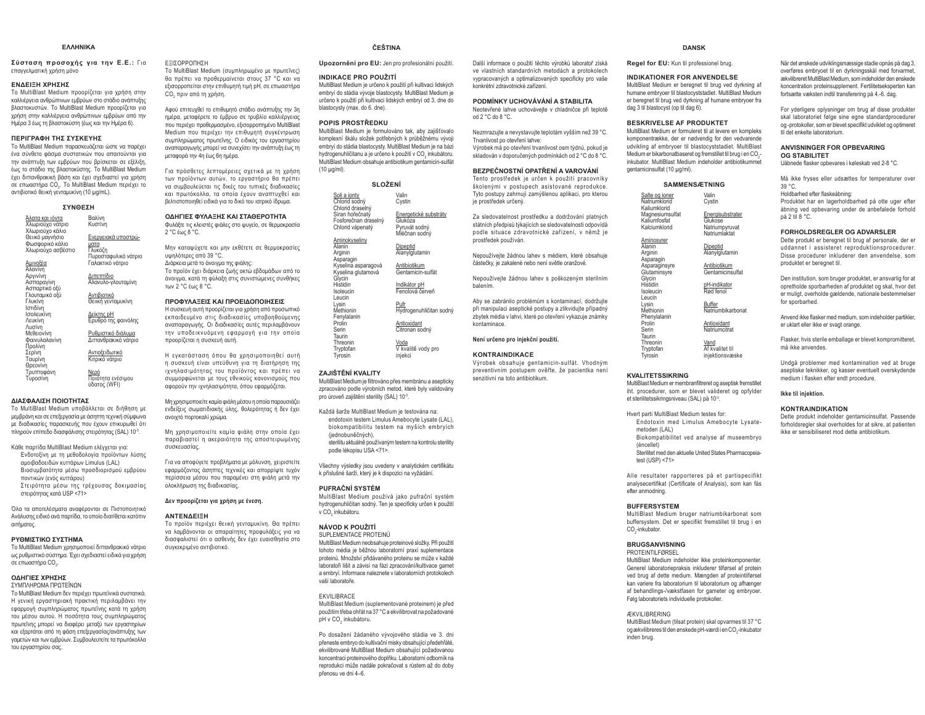#### **FAAHNIKA**

 $Σύσταση προσοχής για την Ε.Ε.: Για$ επαγγελματική χρήση μόνο

#### **ΕΝΔΕΙΞΗ ΧΡΗΣΗΣ**

Το MultiBlast Medium προορίζεται για χρήση στην καλλιέργεια ανθρώπινων εμβρύων στο στάδιο ανάπτυξης βλαστοκυστών. Το MultiBlast Medium προορίζεται για χρήση στην καλλιέργεια ανθρώπινων εμβρύων από την Ημέρα 3 έως τη βλαστοκύστη (έως και την Ημέρα 6).

## **ΠΕΡΙΓΡΑΦΗ ΤΗΣ ΣΥΣΚΕΥΗΣ**

To MultiBlast Medium παρασκευάζεται ώστε να παρέχει ένα σύνθετο φάσμα συστατικών που απαιτούνται για την ανάπτυξη των εμβρύων που βρίσκεται σε εξέλιξη. έως το στάδιο της βλαστοκύστης. Το MultiBlast Medium έχει διττανθρακική βάση και έχει σχεδιαστεί για χρήση σε επωαστήρα CO<sub>x</sub>. Το MultiBlast Medium περιέχει το αντιβιοτικό θειική γενταμυκίνη (10 μg/mL).

#### **ΣΥΝΘΕΣΗ**

| Άλατα και ιόντα<br>Χλωριούχο νάτριο                                         | Βαλίνη<br>Κυστίνη                                              |
|-----------------------------------------------------------------------------|----------------------------------------------------------------|
| Χλωριούχο κάλιο<br>Θειικό μαγνήσιο<br>Φωσφορικό κάλιο<br>Χλωριούχο ασβέστιο | Ενεργειακά υποστρώ-<br>ματα<br>Γλυκόζη<br>Πυροσταφυλικό νάτριο |
| Αμινοξέα<br>Αλανίνη                                                         | Γαλακτικό νάτριο                                               |
| Αργινίνη<br>Ασπαραγίνη<br>Ασπαρτικό οξύ                                     | Διπεπτίδιο<br>Αλανυλο-γλουταμίνη                               |
| Γλουταμικό οξύ<br>Γλυκίνη<br>Ιστιδίνη                                       | Αντιβιοτικό<br>Θειική γενταμυκίνη                              |
| Ισολευκίνη<br>Λευκίνη                                                       | Δείκτης pH<br>Ερυθρό της φαινόλης                              |
| Λυσίνη<br>Μεθειονίνη<br>Φαινυλαλανίνη                                       | Ρυθμιστικό διάλυμα<br>Διπανθρακικό νάτριο                      |
| Προλίνη<br>Σερίνη<br>Ταυρίνη                                                | Αντιοξειδωτικό<br>Κιτρικό νάτριο                               |
| Θρεονίνη<br>Τρυπτοφάνη<br>Τυροσίνη                                          | Νερό<br>Ποιότητα ενέσιμου<br>ύδατος (WFI)                      |

#### **ǻǿǹȈĭǹȁǿȈǾȆȅǿȅȉǾȉǹȈ**

Το MultiBlast Medium υποβάλλεται σε διήθηση με ιεμβράνη και σε επεξεργασία με άσηπτη τεχνική σύμφωνα ie διαδικασίες παρασκευής που έχουν επικυρωθεί ότι πληρούν επίπεδο διασφάλισης στειρότητας (SAL) 10<sup>-3</sup>.

- Κάθε παρτίδα MultiBlast Medium ελέγχεται για: Ενδοτοξίνη με τη μεθοδολογία προϊόντων λύσης αμοιβαδοειδών κυττάρων Limulus (LAL) Βιοσυμβατότητα μέσω προσδιορισμού εμβρύου ποντικών (ενός κυττάρου)
- Στειρότητα μέσω της τρέχουσας δοκιμασίας στειρότητας κατά USP <71>

Όλα τα αποτελέσματα αναφέρονται σε Πιστοποιητικό Ανάλυσης ειδικό ανά παρτίδα, το οποίο διατίθεται κατόπιν αιτήματος

#### **ΡΥΘΜΙΣΤΙΚΩ ΣΥΣΤΗΜΑ**

To MultiBlast Medium χρησιμοποιεί διττανθρακικό νάτριο ως ρυθμιστικό σύστημα. Έχει σχεδιαστεί ειδικά για χρήση σε επωαστήρα CO<sub>2</sub>.

#### **ΩΛΗΓΙΕΣ ΧΡΗΣΗΣ**

ΣΥΜΠΛΗΡΩΜΑ ΠΡΩΤΕΪΝΩΝ Το MultiBlast Medium δεν περιέχει πρωτεϊνικά συστατικά. Η νενική ερναστηριακή πρακτική περιλαμβάνει την εφαρμογή συμπληρώματος πρωτεΐνης κατά τη χρήση του μέσου αυτού. Η ποσότητα τους συμπληρώματος πρωτεΐνης μπορεί να διαφέρει μεταξύ των εργαστηρίων και εξαρτάται από τη φάση επεξεργασίας/ανάπτυξης των γαμετών και των εμβρύων. Συμβουλευτείτε τα πρωτόκολλα του ερναστηρίου σας.

ǼȄǿȈȅȇȇȅȆǾȈǾ

Το MultiBlast Medium (συμπληρωμένο με πρωτεΐνες) θα πρέπει να προθερμαίνεται στους 37 °C και να Ϊ, εξισορροπείται στην επιθυμητή τιμή pH, σε επωαστήρα CO<sub>2</sub> πριν από τη χρήση.

Αφού επιτευχθεί το επιθυμητό στάδιο ανάπτυξης την 3η ημέρα, μεταφέρετε το έμβρυο σε τρυβλίο καλλιέργειας που περιέχει προθερμασμένο, εξισοροσπημένο MultiBlast Medium που περιέχει την επιθυμητή συγκέντρωση συμπληρώματος πρωτεΐνης. Ο ειδικός του εργαστηρίου αναπαραγωγής μπορεί να συνεχίσει την ανάπτυξη έως τη  $I$ μεταφορά την 4η έως 6η ημέρα.

Για πρόσθετες λεπτομέρειες σχετικά με τη χρήση των προϊόντων αυτών, το εργαστήριο θα πρέπει να συμβουλεύεται τις δικές του τυπικές διαδικασίες țĮȚ ʌȡȦIJȩțȠȜȜĮ IJĮ ȠʌȠȓĮ ȑȤȠȣȞ ĮȞĮʌIJȣȤșİȓ țĮȚ Βελτιστοποιηθεί ειδικά νια το δικό του ιατρικό ίδρυμα.

#### **ΟΔΗΓΙΕΣ ΦΥΛΑΞΗΣ ΚΑΙ ΣΤΑΘΕΡΟΤΗΤΑ**

Φυλάξτε τις κλειστές φιάλες στο ψυγείο, σε θερμοκρασία 2 °C fuic 8 °C

Μην καταψύχετε και μην εκθέτετε σε θερμοκρασίες υψηλότερες από 39 °C. Διάρκεια μετά το άνοιγμα της φιάλης: Το προϊόν έχει διάρκεια ζωής οκτώ εβδομάδων από το άνοιγμα, κατά τη φύλαξη στις συνιστώμενες συνθήκες των 2°C έως 8°C.

#### ΠΡΟΦΥΛΑΞΕΙΣ ΚΑΙ ΠΡΟΕΙΔΟΠΟΙΗΣΕΙΣ

Η συσκευή αυτή προορίζεται για χρήση από προσωπικό εκπαιδευμένο στις διαδικασίες υποβοηθούμενης αναπαραγωγής. Οι διαδικασίες αυτές περιλαμβάνουν την υποδεικνυόμενη εφαρμονή για την οποία προορίζεται η συσκευή αυτή.

Η εγκατάσταση όπου θα χρησιμοποιηθεί αυτή η συσκευή είναι υπεύθυνη για τη διατήρηση της ιχνηλασιμότητας του προϊόντος και πρέπει να συμμορφώνεται με τους εθνικούς κανονισμούς που αφορούν την ιχνηλασιμότητα, όπου εφαρμόζεται.

Mn χρησιμοποιείτε καμία φιάλη μέσου η οποία παρουσιάζει ενδείξεις σωματιδιακής ύλης, θολερότητας ή δεν έχει ανοιχτό πορτοκαλί χρώμα.

Mn χρησιμοποιείτε καμία φιάλη στην οποία έχει παραβιαστεί η ακεραιότητα της αποστειρωμένης πισκευασίας

Για να αποφύγετε προβλήματα με μόλυνση, χειριστείτε εφαρμόζοντας άσηπτες τεγνικές και αποροίψτε τυχόν περίσσεια μέσου που παραμένει στη φιάλη μετά την ολοκλήρωση της διαδικασίας.

#### Δεν προορίζεται για χρήση με ένεση.

#### **ǹȃȉǼȃǻǼǿȄǾ**

Το προϊόν περιέχει θειική γενταμυκίνη. Θα πρέπει να λαμβάνονται οι απαραίτητες προφυλάξεις για να διασφαλιστεί ότι ο ασθενής δεν έχει ευαισθησία στο συνκεκριμένο αντιβιοτικό.

## **ČEŠTINA**

Upozornění pro EU: Jen pro profesionální použití.

#### **INDIKACE PRO POUŽITÍ**

MultiBlast Medium je určeno k použití při kultivaci lidských embryí do stádia vývoje blastocysty. MultiBlast Medium je určeno k použití při kultivaci lidských embryí od 3. dne do blastocysty (max. do 6. dne).

#### **POPIS PROSTŘEDKU**

MultiBlast Medium je formulováno tak, aby zajišťovalo Komplexní škálu složek potřebných k průběžnému vývoji embryí do stádia blastocysty. MultiBlast Medium je na bázi hydrogenuhličitanu a je určeno k použití v CO<sub>2</sub> inkubátoru. MultiBlast Medium obsahuje antibiotikum gentamicin-sulfat (10 μg/ml).

#### **SLOŽENÍ**

| Soli a ionty<br>Chlorid sodný<br>Chlorid draselný   | Valin<br>Cvstin                       |
|-----------------------------------------------------|---------------------------------------|
| Síran hořečnatý<br>Fosforečnan draselný             | Energetické substráty<br>Glukóza      |
| Chlorid vápenatý                                    | Pyruvát sodný<br>Mléčnan sodný        |
| Aminokyseliny<br>Alanin<br>Arginin<br>Asparagin     | Dipeptid<br>Alanylglutamin            |
| Kyselina asparagová<br>Kyselina glutamová<br>Glycin | Antibiotikum<br>Gentamicin-sulfát     |
| Histidin<br>Isoleucin<br>Leucin                     | Indikátor pH<br>Fenolová červeň       |
| Lysin<br>Methionin<br>Fenylalanin                   | Pufr<br>Hydrogenuhličitan sodný       |
| Prolin<br>Serin<br>Taurin                           | Antioxidant<br>Citronan sodný         |
| Threonin<br>Tryptofan<br>Tyrosin                    | Voda<br>V kvalitě vody pro<br>injekci |
|                                                     |                                       |

#### *ZAJIŠTĚNÍ KVALITY*

MultiBlast Medium je filtrováno přes membránu a asepticky zpracováno podle výrobních metod, které byly validovány pro úroveň zajištění sterility (SAL) 10<sup>-3</sup>.

Každá šarže MultiBlast Medium je testována na: endotoxin testem Limulus Amebocyte Lysate (LAL), biokompatibilitu testem na myších embryích (jednohuněčných) sterilitu aktuálně používaným testem na kontrolu sterility podle lékopisu USA <71>.

Všechny výsledky jsou uvedeny v analytickém certifikátu k příslušné šarži, který je k dispozici na vyžádání.

#### **PUFRAČNÍ SYSTÉM**

MultiBlast Medium používá jako pufrační systém hydrogenuhličitan sodný. Ten je specificky určen k použití v CO<sub>2</sub> inkubátoru.

## **NÁVOD K POUŽITÍ**

SUPLEMENTACE PROTEINŮ MultiBlast Medium neobsahuje proteinové složky. Při použití tohoto média je běžnou laboratorní praxí suplementace proteinů. Množství přidávaného proteinu se může v každé laboratoři lišit a závisí na fázi zpracování/kultivace gamet a embryí. Informace naleznete v laboratorních protokolech vaší lahoratoře

## EKVILIBRACE

MultiBlast Medium (suplementované proteinem) je před použitím třeba ohřát na 37 °C a ekvilibrovat na požadované pH v CO inkubátoru.

Po dosažení žádaného vývojového stádia ve 3. dni přeneste embryo do kultivační misky obsahující předehřáté, ekvilibrované MultiBlast Medium obsahující požadovanou koncentraci proteinového doplňku. Laboratorní odborník na reprodukci může nadále pokračovat s růstem až do doby přenosu ve dni 4-6.

#### **DANSK**

**Regel for EU:** Kun til professionel brug.

#### **INDIKATIONER FOR ANVENDELSE**

Další informace o použití těchto výrobků laboratoř získá ve vlastních standardních metodách a protokolech vypracovaných a optimalizovaných specificky pro vaše

Nezmrazujte a nevystavujte teplotám vyšším než 39 °C.

Výrobek má po otevření trvanlivost osm týdnů, pokud je Skladován v doporučených podmínkách od 2 °C do 8 °C. **BEZPEČNOSTNÍ OPATŘENÍ A VAROVÁNÍ** Tento prostředek je určen k použití pracovníky školenými v postupech asistované reprodukce. Tyto postupy zahrnují zamýšlenou aplikaci, pro kterou

Za sledovatelnost prostředku a dodržování platných státních předpisů týkajících se sledovatelnosti odpovídá podle situace zdravotnické zařízení, v němž je

Nepoužívejte žádnou lahev s médiem, které obsahuje repermejte menne miner e menem, mere e Nepoužívejte žádnou lahev s poškozeným sterilním

Aby se zabránilo problémům s kontaminací, dodržujte při manipulaci aseptické postupy a zlikvidujte případný zbytek média v lahvi, které po otevření vykazuje známky

Výrobek obsahuje gentamicin-sulfát. Vhodným preventivním postupem ověřte, že pacientka není

**PODMÍNKY UCHOVÁVÁNÍ A STABILITA**Neotevřené lahve uchovávejte v chladničce při teplotě

konkrétní zdravotnické zařízení

Trvanlivost po otevření lahve:

od 2 °C do 8 °C.

ie prostředek určený.

Survey<br>Surveys de notin

balením.

kontaminace.

Není určeno pro injekční použití. **KONTRAINDIKACE**

senzitivní na toto antibiotikum.

 MultiBlast Medium er beregnet til brug ved dyrkning af humane embryoer til blastocyststadiet. MultiBlast Medium er beregnet til brug ved dyrkning af humane embryoer fra dag 3 til blastocyst (op til dag 6).

#### **BESKRIVELSE AF PRODUKTET**

 MultiBlast Medium er formuleret til at levere en kompleks komponentrække, der er nødvendig for den vedvarende udvikling af embryoer til blastocyststadiet. MultiBlast Medium er bikarbonatbaseret og fremstillet til brug i en CO<sub>2</sub>- inkubator. MultiBlast Medium indeholder antibiotikummet gentamicinsulfat (10 μg/ml).

| <b>SAMMENSÆTNING</b>                                |                                                                |  |
|-----------------------------------------------------|----------------------------------------------------------------|--|
| Salte og ioner<br>Natriumklorid<br>Kaliumklorid     | Valin<br>Cystin                                                |  |
| Magnesiumsulfat<br>Kaliumfosfat<br>Kalciumklorid    | Energisubstrater<br>Glukose<br>Natriumpyruvat<br>Natriumlaktat |  |
| <b>Aminosyrer</b><br>Alanin<br>Arginin<br>Asparagin | Dipeptid<br>Alanylglutamin                                     |  |
| Asparaginsyre<br>Glutaminsyre<br>Glycin             | Antibiotikum<br>Gentamicinsulfat                               |  |
| Histidin<br>Isoleucin<br>Leucin                     | pH-indikator<br>Rød fenol                                      |  |
| Lysin<br>Methionin<br>Phenylalanin                  | Buffer<br>Natriumbikarbonat                                    |  |
| Prolin<br>Serin<br>Taurin                           | Antioxidant<br>Natriumcitrat                                   |  |
| Threonin<br>Tryptofan<br>Tyrosin                    | Vand<br>Af kvalitet til<br>injektionsvæske                     |  |

#### **KVALITETSSIKRING**

iwa<br>Ma

MultiBlast Medium er membranfiltreret og aseptisk fremstillet iht. procedurer, som er blevet valideret og opfylder et sterilitetssikringsniveau (SAL) på 10-3.

Hvert parti MultiBlast Medium testes for: Endotoxin med Limulus Amebocyte Lysatemetoden (LAL)

Sterilitet med den aktuelle United States Pharmacopeia-

Alle resultater rapporteres på et partispecifikt analysecertifikat (Certificate of Analysis), som kan fås efter anmodning.

buffersystem. Det er specifikt fremstillet til brug i en CO<sub>-inkubator</sub>

 MultiBlast Medium indeholder ikke proteinkomponenter. Generel laboratoriepraksis inkluderer tilførsel af protein ved brug af dette medium. Mængden af proteintilførsel kan variere fra laboratorium til laboratorium og afhænger af behandlings-/vækstfasen for gameter og embryoer. Følg laboratoriets individuelle protokoller.

#### ÆKVILIBRERING

 MultiBlast Medium (tilsat protein) skal opvarmes til 37 °C og ækvilibreres til den ønskede pH-værdi i en CO<sub>2</sub>-inkubator inden brug.

Når det ønskede udviklingsmæssige stadie opnås på dag 3, overføres embryoet til en dyrkningsskål med forvarmet, ækvilibreret MultiBlast Medium, som indeholder den ønskede koncentration proteinsupplement. Fertilitetseksperten kan fortsætte væksten indtil transferering på 4.-6. dag.

For yderligere oplysninger om brug af disse produkter skal laboratoriet følge sine egne standardprocedurer og -protokoller, som er blevet specifikt udviklet og optimeret til det enkelte laboratorium.

#### **ANVISNINGER FOR OPBEVARING OG STABILITET**

Uâbnede flasker opbevares i køleskab ved 2-8 °C.

Må ikke fryses eller udsættes for temperaturer over 39 °C.-<br>Holdbarhed efter flaskeåbning:

Produktet har en lagerholdbarhed på otte uger efter åbning ved opbevaring under de anbefalede forhold på 2 til 8 °C.

#### **FORHOLDSREGLER OG ADVARSLER**

 Dette produkt er beregnet til brug af personale, der er uddannet i assisteret reproduktionsprocedurer. Disse procedurer inkluderer den anvendelse, som produktet er beregnet til.

Den institution, som bruger produktet, er ansvarlig for at opretholde sporbarheden af produktet og skal, hvor det er muligt, overholde gældende, nationale bestemmelser for sporbarhed

Anvend ikke flasker med medium, som indeholder partikler. er uklart eller ikke er svagt orange.

Flasker, hvis sterile emballage er blevet kompromitteret, må ikke anvendes.

Undgå problemer med kontamination ved at bruge aseptiske teknikker, og kasser eventuelt overskydende medium i flasken efter endt procedure.

#### **Ikke til iniektion.**

**KONTRAINDIKATION**

 Dette produkt indeholder gentamicinsulfat. Passende forholdsregler skal overholdes for at sikre, at patienten ikke er sensibiliseret mod dette antibiotikum.

 Biokompatibilitet ved analyse af museembryo (éncellet) test (USP) <71>

## **BUFFERSYSTEM**

MultiBlast Medium bruger natriumbikarbonat som

**BRUGSANVISNING**PROTEINTILFØRSEL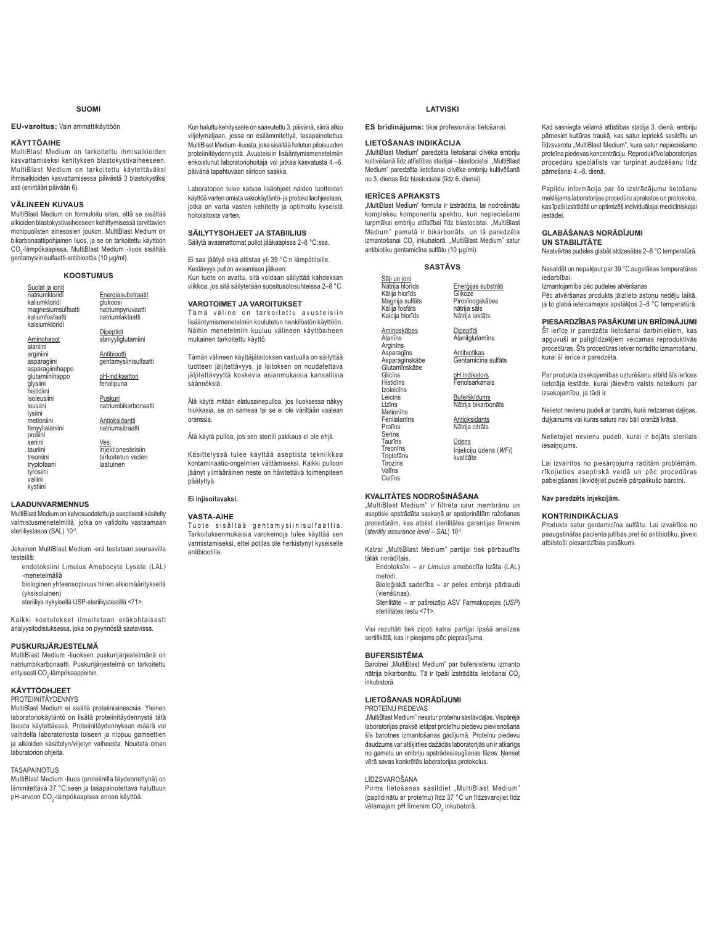## **SUOMI**

## **EU-varoitus:** Vain ammattikäyttöön

## **KÄYTTÖAIHE**

MultiBlast Medium on tarkoitettu ihmisalkioiden kasvattamiseksi kehityksen blastokystivaiheeseen. MultiBlast Medium on tarkoitettu käytettäväksi ihmisalkioiden kasvattamisessa päivästä 3 blastokystiksi asti (enintään päivään 6).

## **VÄLINEEN KUVAUS**

MultiBlast Medium on formuloitu siten, että se sisältää alkioiden blastokystivaiheeseen kehittymisessä tarvittavien monipuolisten ainesosien joukon. MultiBlast Medium on bikarbonaattipohjainen liuos, ja se on tarkoitettu käyttöön CO<sub>2</sub>-lämpökaapissa. MultiBlast Medium -liuos sisältää gentamysiinisulfaatti-antibioottia (10 μg/ml).

## **KOOSTUMUS**

Suolat ja ionit natriumkloridi kaliumkloridi magnesiumsulfaatti kaliumfosfaatti kalsiumkloridi

Aminohapot alaniini arginiini asparagiini asparagiinihappo glutamiinihappo glysiini histidiini isoleusiini leusiini lysiini metioniini fenyylialaniini proliini seriini tauriini treoniini tryptofaani tyrosiini valiini kystiini

natriumpyruvaatti natriumlaktaatti Dipeptidi alanyyliglutamiini

> **Antibiootti** gentamysiinisulfaatti

> > pH-indikaattori fenolipuna

Energiasubstraatit glukoosi

<u>Puskuri</u><br>natriumbikarbonaatti **Antioksidantti** 

<u>natriumsitraatti</u> **Vesi** 

injektionesteisiin tarkoitetun veden laatuinen

#### **LAADUNVARMENNUS**

MultiBlast Medium on kalvosuodatettu ja asentisesti käsitelty valmistusmenetelmillä, jotka on validoitu vastaamaan steriiliystasoa (SAL) 10-3.

Jokainen MultiBlast Medium -erä testataan seuraavilla testeillä:

- endotoksiini Limulus Amebocyte Lysate (LAL) -menetelmällä
- biologinen yhteensopivuus hiiren alkiomäärityksellä (yksisoluinen)

steriiliys nykyisellä USP-steriiliystestillä <71>.

Kaikki koetulokset ilmoitetaan eräkohtaisesti analyysitodistuksessa, joka on pyynnöstä saatavissa

#### **PUSKURIJÄRJESTELMÄ**

MultiBlast Medium -liuoksen puskurijäriestelmänä on mahdeller medicine erityisesti CO<sub>2</sub>-lämpökaappeihin.

## **KÄYTTÖOHJEET**

PROTEIINITÄYDENNYS

MultiBlast Medium ei sisällä proteiiniainesosia. Yleinen laboratoriokäytäntö on lisätä proteiinitäydennystä tätä liuosta käytettäessä. Proteiinitäydennyksen määrä voi vaihdella laboratoriosta toiseen ja riippuu gameettien ja alkioiden käsittelyn/viljelyn vaiheesta. Noudata oman ,<br>laboratorion ohieita.

## **TASAPAINOTUS**

MultiBlast Medium -liuos (proteiinilla täydennettynä) on lämmitettävä 37 °C:seen ja tasapainotettava haluttuun pH-arvoon CO<sub>2</sub>-lämpökaapissa ennen käyttöä.

Kun haluttu kehitysaste on saavutettu 3. päivänä, siirrä alkio viljelymaljaan, jossa on esilämmitettyä, tasapainotettua MultiBlast Medium -liuosta, joka sisältää halutun pitoisuuden proteiinitäydennystä. Avusteisiin lisääntymismenetelmiin erikoistunut laboratoriohoitaja voi jatkaa kasvatusta 4.-6. päivänä tapahtuvaan siirtoon saakka.

Laboratorion tulee katsoa lisäohieet näiden tuotteiden käyttöä varten omista vakiokäytäntö- ja protokollaohjeistaan, idytted Entert Entertainmen.<br>jotka on varta vasten kehitetty ja optimoitu kyseistä hoitolaitosta varten.

**SÄILYTYSOHJEET JA STABIILIUS** Säilytä avaamattomat pullot jääkaapissa 2-8 °C:ssa.

Ei saa jäätyä eikä altistaa yli 39 °C:n lämpötiloille.

Kestävyys pullon avaamisen jälkeen: Kun tuote on avattu, sitä voidaan säilyttää kahdeksan viikkoa, jos sitä säilytetään suositusolosuhteissa 2-8 °C.

#### **VAROTOIMET JA VAROITUKSET**

Tämä väline on tarkoitettu avusteisiin lisääntymismenetelmiin koulutetun henkilöstön käyttöön. Näihin menetelmiin kuuluu välineen käyttöaiheen mukainen tarkoitettu käyttö.

Tämän välineen käyttäjälaitoksen vastuulla on säilyttää tuotteen jäljitettävyys, ja laitoksen on noudatettava jäljitettävyyttä koskevia asianmukaisia kansallisia säännöksiä.

Älä käytä mitään elatusainepulloa, jos liuoksessa näkyy hiukkasia, se on sameaa tai se ei ole väriltään vaalean oranssia.

Älä käytä pulloa, jos sen steriili pakkaus ei ole ehjä.

Käsittelyssä tulee käyttää aseptista tekniikkaa kontaminaatio-ongelmien välttämiseksi. Kaikki pulloon jäänyt ylimääräinen neste on hävitettävä toimenpiteen päätyttyä.

## Ei injisoitavaksi.

## **VASTA-AIHE**

Tuote sisältää gentamysiinisulfaattia.<br>Tarkoituksenmukaisia varokeinoja tulee käyttääsen varmistamiseksi, ettei potilas ole herkistynyt kyseiselle antibiootille.

## **LATVISKI**

**ES brīdinājums:** tikai profesionālai lietošanai.

## **LIETOŠANAS INDIKĀCIJA**

"MultiBlast Medium" paredzēta lietošanai cilvēka embriju www.witivešanā līdz attīstības stadijai - blastocistai. "MultiBlast Medium" paredzēta lietošanai cilvēka embriju kultivēšanā no 3. dienas līdz blastocistai (līdz 6. dienai).

#### **JERICES APRAKSTS**

Cistīns

MultiBlast Medium" formula ir izstrādāta, lai nodrošinātu kompleksu komponentu spektru, kuri nepieciešami turpmākai embriju attīstībai līdz blastocistai. "MultiBlast Medium" pamatā ir bikarbonāts, un tā paredzēta izmantošanai CO<sub>2</sub> inkubatorā. "MultiBlast Medium" satur antibiotiku gentamicīna sulfātu (10 µg/ml).

#### **SASTÄVS**

| Sāli un joni<br>Nātrija hlorīds<br>Kālija hlorīds<br>Magnija sulfāts<br>Kālija fosfāts<br>Kalcija hlorīds | Enerģijas substrāti<br>Glikoze<br>Pirovīnogskābes<br>nātrija sāls<br>Nātrija laktāts |
|-----------------------------------------------------------------------------------------------------------|--------------------------------------------------------------------------------------|
| Aminoskābes<br>Alanīns<br>Arginins                                                                        | Dipeptīdi<br>Alanilglutamīns                                                         |
| Asparagīns<br>Asparagīnskābe<br>Glutamīnskābe                                                             | Antibiotikas<br>Gentamicīna sulfāts                                                  |
| Glicīns<br>Histidins<br>Izoleicīns                                                                        | pH indikators<br>Fenolsarkanais                                                      |
| Leicīns<br>Lizīns<br>Metionins                                                                            | Buferškīdums<br>Nātrija bikarbonāts                                                  |
| Fenilalanīns<br>Prolins<br>Serīns                                                                         | Antioksidants<br>Nātrija citrāts                                                     |
| Taurīns<br>Treonins<br>Triptofāns<br>Tirozīns<br>Valīns                                                   | <b>Udens</b><br>Injekciju ūdens (WFI)<br>kvalitāte                                   |
|                                                                                                           |                                                                                      |

## **KVALITĀTES NODROŠINĀŠANA**

"MultiBlast Medium" ir filtrēta caur membrānu un aseptiski apstrādāta saskanā ar apstiprinātām ražošanas procedūrām, kas atbilst sterilitātes garantijas līmenim (*sterility assurance level – SAL*) 10-3.

Katrai "MultiBlast Medium" partijai tiek pārbaudīts tālāk norādītais

Endotoksīni - ar *Limulus* amebocīta lizāta (LAL) metodi.

Bioloģiskā saderība - ar peles embrija pārbaudi (vienšūnas).

 $\overline{\text{S}}$ terilitāte – ar pašreizējo ASV Farmakopejas (USP) sterilitātes testu <71>.

Visi rezultāti tiek ziņoti katrai partijai īpašā analīzes sertifikātā, kas ir pieejams pēc pieprasījuma.

### **BUFFRSISTEMA**

Barotnei "MultiBlast Medium" par bufersistēmu izmanto nātrija bikarbonātu. Tā ir īpaši izstrādāta lietošanai CO<sub>2</sub> inkubatorā

## LIETOŠANAS NORĀDĪJUMI

PROTEĪNU PIEDEVAS "MultiBlast Medium" nesatur proteīnu sastāvdaļas. Vispārējā laboratorijas praksē ietilpst proteīnu piedevu pievienošana šīs barotnes izmantošanas gadījumā. Proteīnu piedevu daudzums var atšķirties dažādās laboratorijās un ir atkarīgs no gametu un embriju apstrādes/augšanas fāzes. Ņemiet vērā savas konkrētās laboratorijas protokolus.

#### I ÎDZSVAROŠANA

Pirms lietošanas sasildiet "MultiBlast Medium" (papildinātu ar proteīnu) līdz 37 °C un līdzsvarojiet līdz vēlamajam pH līmenim CO<sub>2</sub> inkubatorā.

Kad sasniegta vēlamā attīstības stadija 3. dienā, embriju pārnesiet kultūras traukā, kas satur iepriekš sasildītu un .<br>Iīdzsvarotu "MultiBlast Medium", kura satur nepieciešamo proteīna piedevas koncentrāciju. Reproduktīvo laboratorijas procedūru speciālists var turpināt audzēšanu līdz pārnešanai 4.-6. dienā.

Papildu informācija par šo izstrādājumu lietošanu meklējama laboratorijas procedūru aprakstos un protokolos, kas īpaši izstrādāti un optimizēti individuālajai medicīniskajai iestādei

#### **GI ARĀŠANAS NORĀDĪJUMI** *<u><b>81688 ITATE</u>*</u>

Neatvērtas pudeles glabāt atdzesētas 2-8 °C temperatūrā.

Nesaldēt un nepakļaut par 39 °C augstākas temperatūras iedarbībai. Izmantojamība pēc pudeles atvēršanas

Pēc atvēršanas produkts jāizlieto astoņu nedēļu laikā, ja to glabā ieteicamajos apstāklos 2-8 °C temperatūrā.

## **PIESARDZĪBAS PASĀKUMI UN BRĪDINĀJUMI**

Šī ierīce ir paredzēta lietošanai darbiniekiem, kas apguvuši ar palīglīdzekļiem veicamas reproduktīvās procedūras. Šīs procedūras ietver norādīto izmantošanu, .<br>kurai šī ierīce ir paredzēta.

Par produkta izsekojamības uzturēšanu atbild šīs ierīces<br>lietotāja iestāde, kurai jāievēro valsts noteikumi par izsekojamību, ja tādi ir.

Nelietot nevienu pudeli ar barotni, kurā redzamas daļiņas, duļķainums vai kuras saturs nav bāli oranžā krāsā.

Nelietojiet nevienų pudelį, kurai ir bojāts sterilais iesainoiums

Lai izvairītos no piesārnojuma radītām problēmām, rīkojieties aseptiskā veidā un pēc procedūras pabeigšanas likvidējiet pudelē pārpalikušo barotni.

#### Nav paredzēts injekcijām.

## **KONTRINDIKĀCIJAS**

Produkts satur gentamicīna sulfātu. Lai izvairītos no paaugstinātas pacienta jutības pret šo antibiotiku, jāveic atbilstoši piesardzības pasākumi.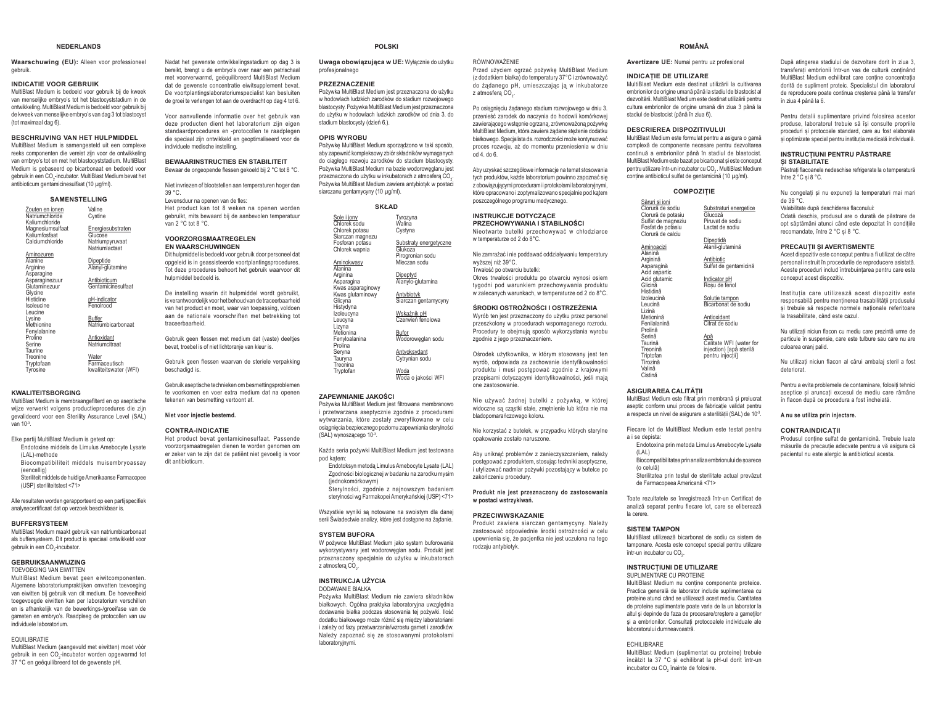### **NEDERLANDS**

**Waarschuwing (EU):** Alleen voor professioneel gebruik.

#### **INDICATIE VOOR GEBRUIK**

MultiBlast Medium is bedoeld voor gebruik bij de kweek van menselijke embrvo's tot het blastocyststadium in de ontwikkeling, MultiBlast Medium is bedoeld voor gebruik bij de kweek van menselijke embryo's van dag 3 tot blastocyst (tot maximaal dag 6).

#### **BESCHRIJVING VAN HET HULPMIDDEL**

 MultiBlast Medium is samengesteld uit een complexe reeks componenten die vereist zijn voor de ontwikkeling yan embruo's tot en met het blastocyststadium MultiRlast Medium is gebaseerd op bicarbonaat en bedoeld voor gebruik in een CO2-incubator. MultiBlast Medium bevat het antibioticum gentamicinesulfaat (10 μg/ml).

#### **SAMENSTELLING**

<u>Zouten en ionen</u><br>Natriumchloride Kaliumchloride Magnesiumsulfaat Kaliumfosfaat Calciumchloride Valine Cystine **Energiesubstraten Glucose** Natriumpyruvaat

|                                                 | Natriumlactaat                                  |
|-------------------------------------------------|-------------------------------------------------|
| Aminozuren<br>Alanine<br>Arginine<br>Asparagine | Dipeptide<br>Alanyl-glutamine                   |
| Asparaginezuur<br>Glutaminezuur<br>Glycine      | Antibioticum<br>Gentamicinesulfaat              |
| Histidine<br>Isoleucine<br>Leucine              | pH-indicator<br>Fenolrood                       |
| Lysine<br>Methionine<br>Fenylalanine            | Buffer<br>Natriumbicarbonaat                    |
| Proline<br>Serine<br>Taurine                    | Antioxidant<br>Natriumcitraat                   |
| Treonine<br>Tryptofaan<br>Tyrosine              | Water<br>Farmaceutisch<br>kwaliteitswater (WFI) |

#### **KWALITEITSBORGING**

MultiBlast Medium is membraangefilterd en op aseptische wijze verwerkt volgens productieprocedures die zijn gevalideerd voor een Sterility Assurance Level (SAL)  $var$  10 $3$ 

- Elke partii MultiBlast Medium is getest op: Endotoxine middels de Limulus Amebocyte Lysate
- (LAL)-methode Biocompatibiliteit middels muisembryoassay

(eencellig) Steriliteit middels de huidige Amerikaanse Farmacopee

(USP) steriliteitstest <71>

Alle resultaten worden gerapporteerd op een partiispecifiek analysecertificaat dat op verzoek beschikbaar is.

#### **BUFFERSYSTEEM**

 MultiBlast Medium maakt gebruik van natriumbicarbonaat als buffersysteem. Dit product is speciaal ontwikkeld voor gebruik in een CO2-incubator.

### **GEBRUIKSAANWIJZING**

 TOEVOEGING VAN EIWITTEN MultiBlast Medium bevat geen eiwitcomponenten. Algemene laboratoriumpraktijken omvatten toevoeging van eiwitten bij gebruik van dit medium. De hoeveelheid

## toegevoegde eiwitten kan per laboratorium verschillen en is afhankelijk van de bewerkings-/groeifase van de gameten en embryo's. Raadpleeg de protocollen van uw individuele laboratorium.

### EQUILIBRATIE

 MultiBlast Medium (aangevuld met eiwitten) moet vóór gebruik in een CO<sub>2</sub>-incubator worden opgewarmd tot 37 °C en geëquilibreerd tot de gewenste pH.

Nadat het gewenste ontwikkelingsstadium op dag 3 is bereikt, brengt u de embryo's over naar een netrischaal met voorverwarmd, geëquilibreerd MultiBlast Medium dat de gewenste concentratie eiwitsupplement bevat. De voortplantingslaboratoriumspecialist kan besluiten de groei te verlengen tot aan de overdracht op dag 4 tot 6.

Voor aanvullende informatie over het gebruik van deze producten dient het laboratorium zijn eigen standaardprocedures en -protocollen te raadplegen die speciaal zijn ontwikkeld en geoptimaliseerd voor de individuele medische instelling.

## **BEWAARINSTRUCTIES EN STABILITEIT**

Bewaar de ongeopende flessen gekoeld bij 2 °C tot 8 °C.

Niet invriezen of blootstellen aan temperaturen hoger dan 39 °C.

## .<br>Levensduur na openen van de fles:

Het product kan tot 8 weken na openen worden debruikt mits bewaard bij de aanbevolen temperatuur van 2 °C tot 8 °C.

#### **VOORZORGSMAATREGELEN EN WAARSCHUWINGEN**

 Dit hulpmiddel is bedoeld voor gebruik door personeel dat opgeleid is in geassisteerde voortplantingsprocedures. Tot deze procedures behoort het gebruik waarvoor dit hulpmiddel bedoeld is.

De instelling waarin dit hulpmiddel wordt gebruikt, is verantwoordelijk voor het behoud van de traceerbaarheid van het product en moet, waar van toepassing, voldoen aan de nationale voorschriften met betrekking tot traceerbaarheid.

Gebruik geen flessen met medium dat (vaste) deelties bevat, troebel is of niet lichtoranje van kleur is.

Gebruik geen flessen waarvan de steriele verpakking beschadigd is.

Gebruik aseptische technieken om besmettingsproblemen te voorkomen en voer extra medium dat na openen tekenen van besmetting vertoont af.

**Niet voor injectie bestemd.**

#### **CONTRA-INDICATIE**

 Het product bevat gentamicinesulfaat. Passende voorzorgsmaatregelen dienen te worden genomen om er zeker van te zijn dat de patiënt niet gevoelig is voor dit antibioticum.

- (iednokomórkowym)
- 

Wszystkie wyniki są notowane na swoistym dla danej

#### **SYSTEM BUFORA**

W pożywce MultiBlast Medium jako system buforowania wykorzystywany jest wodoroweglan sodu. Produkt jest przeznaczony specialnie do użytku w inkubatorach z atmosfera CO

Pożywka MultiBlast Medium nie zawiera składników białkowych. Ogólna praktyka laboratoryjna uwzględnia dodawanie białka podczas stosowania tej pożywki. Ilość dodatku białkowego może różnić się między laboratoriami Lizależy od fazy przetwarzania/wzrostu gamet i zarodków Należy zapoznać się ze stosowanymi protokołami laboratorvinymi

## **POLSKI**

Uwaga obowiązująca w UE: Wyłącznie do użytku profesjonalnego

RÓWNOWAŻENIE

 $z$  atmosfera  $CO$ 

 $h$  do 6.

w temperaturze od 2 do 8°C.

zgodnie z jego przeznaczeniem.

bladopomarańczowego koloru.

opakowanie zostało naruszone.

zakończeniu procedury.

w nostaci wstrzykiwań **PRZECIWWSKAZANIE**

rodzaju antybiotyk.

wyższei niż 39°C Trwałość po otwarciu butelki:

one zastosowanie.

Przed użyciem ogrzać pożywkę MultiBlast Medium Shahn Palestin Pelay Hilly Hillshahn Harrist Hillshahn (z dodatkiem białka) do temperatury 37°C i zrównoważyć do żądanego pH, umieszczając ją w inkubatorze

Po osiągnięciu żądanego stadium rozwojowego w dniu 3. przenieść zarodek do naczynia do hodowli komórkowej zawierającego wstepnie ogrzana, zrównoważona pożywke MultiBlast Medium, która zawiera żadane steżenie dodatku białkowego. Specialista ds. rozrodczości może kontynuować proces rozwoju, aż do momentu przeniesienia w dniu

Aby uzyskać szczegółowe informacie na temat stosowania tych produktów, każde laboratorium powinno zapoznać się z obowiazującymi procedurami i protokołami laboratoryjnymi które opracowano i zoptymalizowano specjalnie pod kątem poszczególnego programu medycznego. **INSTRUKCJE DOTYCZACE PRZECHOWYWANIA I STABILNOŚCI** Nieotwarte butelki przechowywać w chłodziarce

Nie zamrażać i nie poddawać oddziaływaniu temperatury

Okres trwałości produktu po otwarciu wynosi osiem tygodni pod warunkiem przechowywania produktu w zalecanych warunkach, w temperaturze od 2 do 8°C. ŚRODKI OSTROŻNOŚCI I OSTRZEŻENIA Wyrób ten jest przeznaczony do użytku przez personel przeszkolony w procedurach wspomaganego rozrodu. Procedury te obejmują sposób wykorzystania wyrobu

Ośrodek użytkownika, w którym stosowany jest ten wyrób, odpowiada za zachowanie identyfikowalności produktu i musi postepować zgodnie z krajowymi przepisami dotyczącymi identyfikowalności, jeśli mają

Nie używać żadnej butelki z pożywką, w której widoczne sa czastki stałe, zmetnienie lub która nie ma

Nie korzystać z butelek, w przypadku których sterylne

Aby uniknąć problemów z zanieczyszczeniem, należy postępować z produktem, stosując techniki aseptyczne, i utvlizować nadmiar pożywki pozostający w butelce po

 $P$ rodukt nie jest przeznaczony do zastosowania

Produkt zawiera siarczan gentamycyny. Należy zastosować odpowiednie środki ostrożności w celu upewnienia sie. że pacientka nie jest uczulona na tego

#### **PRZEZNACZENIE**

Pożywka MultiBlast Medium jest przeznaczona do użytku w hodowlach ludzkich zarodków do stadium rozwojowego blastocysty. Pożywka MultiBlast Medium iest przeznaczona do użytku w hodowlach ludzkich zarodków od dnia 3. do stadium blastocysty (dzień 6.).

#### **OPIS WYROBU**

His

Se

Try

Pożywkę MultiBlast Medium sporządzono w taki sposób, aby zapewnić kompleksowy zbiór składników wymaganych do ciadego rozwoju zarodków do stadium blastocysty Pożywka MultiBlast Medium na bazie wodoroweglanu jest przeznaczona do użytku w inkubatorach z atmosfera CO. Pożywka MultiBlast Medium zawiera antybiotyk w postaci siarczanu gentamycyny (10 μg/ml).

#### **SKŁAD**

| Sole i jony<br>Chlorek sodu                      | Tyrozyna<br>Walina                                    |
|--------------------------------------------------|-------------------------------------------------------|
| Chlorek potasu<br>Siarczan magnezu               | Cystyna                                               |
| Fosforan potasu<br>Chlorek wapnia                | Substraty energetyczne<br>Glukoza<br>Pirogronian sodu |
| Aminokwasy<br>Alanina                            | Mleczan sodu                                          |
| Arginina<br>Asparagina                           | Dipeptyd<br>Alanylo-glutamina                         |
| Kwas asparaginowy<br>Kwas glutaminowy<br>Glicyna | Antybiotyk<br>Siarczan gentamycyny                    |
| Histydyna<br>Izoleucyna<br>Leucyna               | Wskaźnik pH<br>Czerwień fenolowa                      |
| Lizyna<br>Metionina<br>Fenyloalanina<br>Prolina  | Bufor<br>Wodoroweglan sodu                            |
| Seryna<br>Tauryna<br>Treonina                    | Antyoksydant<br>Cytrynian sodu                        |
| Tryptofan                                        | Woda<br>Woda o jakości WFI                            |

#### **=\$3(:1,\$1,(-\$.2ĝ&,**

Pożywka MultiBlast Medium jest filtrowana membranowo i przetwarzana aseptycznie zgodnie z procedurami wytwarzania, które zostały zweryfikowane w celu osiągnięcia bezpiecznego poziomu zapewniania sterylności (SAL) wynoszącego 10-3.

Każda seria pożywki MultiBlast Medium jest testowana nod katem:

Endotoksyn metoda Limulus Amebocyte Lysate (LAL) Zgodności biologicznej w badaniu na zarodku mysim

Štervlności, zgodnie z najnowszym badaniem sterylności wg Farmakopei Amerykańskiej (USP) <71>

serii Świadectwie analizy, które jest dostępne na żądanie.

#### **INSTRUKCJA UŻYCIA** DODAWANIE BIAŁKA

## **ROMÂNĂ**

**Avertizare UE:** Numai pentru uz profesional

#### **INDICATIE DE UTILIZARE**

MultiBlast Medium este destinat utilizării la cultivarea embrionilor de origine umană nână la stadiul de blastocist al dezvoltării MultiRlast Medium este destinat utilizării nentru cultura embrionilor de origine umană din ziua 3 până la stadiul de blastocist (până în ziua 6).

#### **DESCRIEREA DISPOZITIVULUI**

MultiBlast Medium este formulat pentru a asigura o gamă complexă de componente necesare pentru dezvoltarea continuă a embrionilor până în stadiul de blastocist. MultiRlast Medium este bazat ne bicarbonat si este concenut pentru utilizare într-un incubator cu CO<sub>2</sub>. MultiBlast Medium conține antibioticul sulfat de gentamicină (10 µg/ml).

#### **COMPOZITIE** Săruri și ioni Clorură de sodiu Clorură de potasiu Sulfat de magneziu Fosfat de potasiu Clorură de calciu Aminoacizi Alanină Arginină Asparagină Acid aspartic Acid glutamic Glicină Histidină Izoleucină l eucină Lizină Metionină Fenilalanină Prolină Serină Taurină Treonină **Trintofan** ...p.c....<br>Tirozină Valină Substraturi energetice<br>Glucoză Piruvat de sodiu Lactat de sodiu<u>Dipeptidă</u><br>Alanil-glutamină <u>Antibiotic</u><br>Sulfat de gentamicină <u>Indicator pH</u><br>Roșu de fenol <u>Soluție tampon</u><br>Bicarbonat de sodiu <u>Antioxidant</u><br>Citrat de sodiu <u>Apă</u><br>Calitate WFI (water for injection) [apă sterilă nentru injectiil

#### **ASIGURAREA CALITĂTII**

Cistină

MultiBlast Medium este filtrat prin membrană și prelucrat aseptic conform unui proces de fabricatie validat pentru a respecta un nivel de asigurare a sterilitătii (SAL) de 10<sup>-3</sup>.

Fiecare lot de MultiBlast Medium este testat pentru a i se depista:

- Endotoxina prin metoda Limulus Amebocyte Lysate  $(|\Delta|)$
- Biocompatibilitatea prin analiza embrionului de soarece
- (o celulă)
- Sterilitatea prin testul de sterilitate actual prevăzut de Farmacopeea Americană <71>

Toate rezultatele se înregistrează într-un Certificat de analiză senarat nentru fiecare lot care se eliberează la cerere.

#### **SISTEM TAMPON**

MultiBlast utilizează bicarbonat de sodiu ca sistem de tamponare. Acesta este conceput special pentru utilizare într-un incubator cu CO<sub>2</sub>.

## **INSTRUCTIUNI DE UTILIZARE**

SUPLIMENTARE CU PROTEINE MultiBlast Medium nu conține componente proteice. Practica generală de laborator include suplimentarea cu proteine atunci când se utilizează acest mediu. Cantitatea de proteine suplimentate poate varia de la un laborator la altul și depinde de faza de procesare/creștere a gameților și a embrionilor. Consultați protocoalele individuale ale ,<br>Iahoratorului dumneavoastră

ECHILIBRARE

 MultiBlast Medium (suplimentat cu proteine) trebuie încălzit la 37 °C si echilibrat la pH-ul dorit într-un incubator cu CO. înainte de folosire.

După atingerea stadiului de dezvoltare dorit în ziua 3, transferati embrionii într-un vas de cultură continând 0XOWL%ODVW0HGLXP HFKLOLEUDW FDUH FRQʕLQH FRQFHQWUDʕLD dorită de sunliment proteic. Specialistul din laboratorul de reproducere poate continua cresterea până la transfer în ziua 4 până la 6.

Pentru detalii suplimentare privind folosirea acestor produse, laboratorul trebuie să îsi consulte propriile proceduri si protocoale standard, care au fost elaborate si optimizate special pentru institutia medicală individuală.

#### **INSTRUCTIUNI PENTRU PĂSTRARE** SI STABILITATE

 $\dot{\tilde{P}}$ ăstrati flacoanele nedeschise refrigerate la o temperatură între 2 °C si 8 °C.

Nu congelați și nu expuneți la temperaturi mai mari de 39 °C.Valabilitate după deschiderea flaconului:

26 Apertis produsul are o durată de năstrare de nnt săntămâni atunci când este denozitat în conditiile recomandate între 2 °C si 8 °C

#### **PRECAUTII SI AVERTISMENTE**

Acest dispozitiv este conceput pentru a fi utilizat de către personal instruit în procedurile de reproducere asistată. Aceste proceduri includ întrebuintarea pentru care este conceput acest dispozitiv.

Institutia care utilizează acest dispozitiv este responsabilă pentru mentinerea trasabilității produsului si trebuje să respecte normele nationale referitoare la trasabilitate, când este cazul.

Nu utilizati niciun flacon cu mediu care prezintă urme de particule în suspensie, care este tulbure sau care nu are culoarea oranj palid.

Nu utilizati niciun flacon al cărui ambalai steril a fost deteriorat.

Pentru a evita problemele de contaminare, folositi tehnici aseptice și aruncați excesul de mediu care rămâne în flacon după ce procedura a fost încheiată

## **A nu se utiliza prin injectare.**

#### $CONTRAINDICATII$

Produsul contine sulfat de gentamicină. Trebuie luate măsurile de precautie adecvate pentru a vă asigura că pacientul nu este alergic la antibioticul acesta.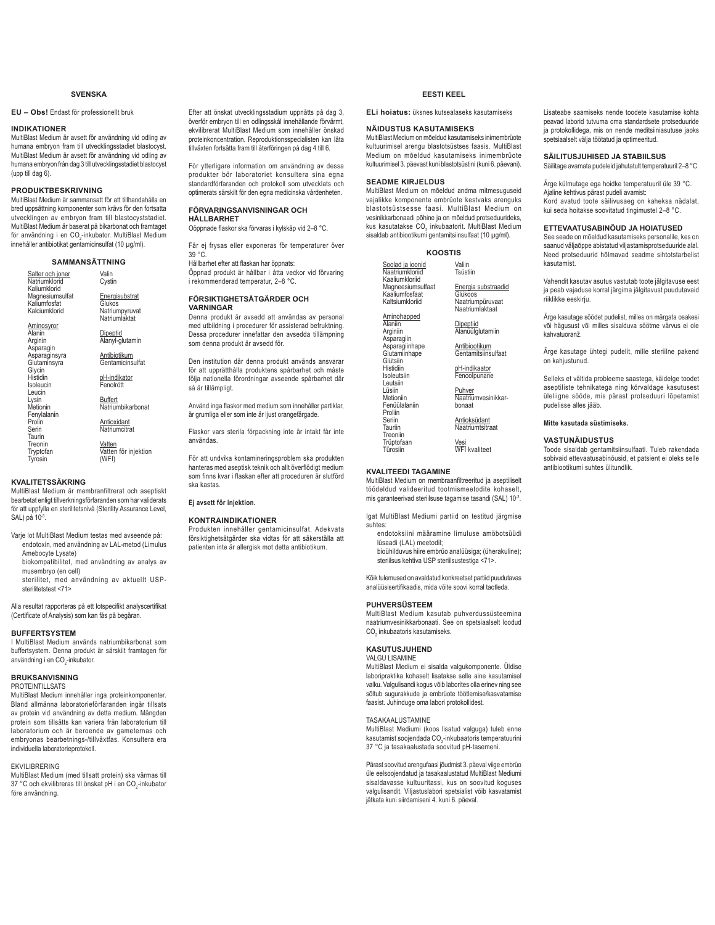## **SVENSKA**

**EU – Obs!** Endast för professionellt bruk

## **INDIKATIONER**

MultiBlast Medium är avsett för användning vid odling av humana embryon fram till utvecklingsstadiet blastocyst. MultiBlast Medium är avsett för användning vid odling av humana embryon från dag 3 till utvecklingsstadiet blastocyst (upp till dag 6).

## **PRODUKTBESKRIVNING**

MultiBlast Medium är sammansatt för att tillhandahålla en bred uppsättning komponenter som krävs för den fortsatta utvecklingen av embryon fram till blastocyststadiet. MultiBlast Medium är baserat på bikarbonat och framtaget för användning i en CO<sub>2</sub>-inkubator. MultiBlast Medium innehåller antibiotikat gentamicinsulfat (10 μg/ml).

## **SAMMANSÄTTNING**

<u>Salter och joner</u><br>Natriumklorid Kaliumklorid Magnesiumsulfat Kaliumfosfat **Kalciumklorid** Aminosyror Alanin Arginin<br>Asparagin<br>Asparaginsyra **Glutaminsyra** Glycin **Histidin** Isoleucin Leucin Lysin Metionin Fenylalanin Prolin Serin Taurin Treonin **Tryptofan Tyrosin** Valin Cystin Energisubstrat Glukos Natriumpyruvat Natriumlaktat Dipeptid Alanyl-glutamin Antibiotikum **Gentamicinsulfat** pH-indikator<br>Fenolrött <u>Buffert</u><br>Natriumbikarbonat Antioxidant Natriumcitrat <u>Vatten</u><br>Vatten för injektion (WFI)

## **KVALITETSSÄKRING**

MultiBlast Medium är membranfiltrerat och aseptiskt bearbetat enligt tillverkningsförfaranden som har validerats för att uppfylla en sterilitetsnivå (Sterility Assurance Level, SAL) på 10-3.

- Varie lot MultiBlast Medium testas med avseende på: endotoxin, med användning av LAL-metod (Limulus Amebocyte Lysate)
- biokompatibilitet, med användning av analys av musembryo (en cell)
- sterilitet, med användning av aktuellt USPsterilitetstest <71>

Alla resultat rapporteras på ett lotspecifikt analyscertifikat (Certificate of Analysis) som kan fås på begäran.

## **BUFFERTSYSTEM**

I MultiBlast Medium används natriumbikarbonat som buffertsystem. Denna produkt är särskilt framtagen för användning i en CO<sub>2</sub>-inkubator.

#### **BRUKSANVISNING** PROTEINTILL SATS

MultiBlast Medium innehåller inga proteinkomponenter. Bland allmänna laboratorieförfaranden ingår tillsats av protein vid användning av detta medium. Mängden protein som tillsätts kan variera från laboratorium till

laboratorium och är beroende av gameternas och embryonas bearbetnings-/tillväxtfas. Konsultera era individuella laboratorieprotokoll.

### EKVILIBRERING

MultiBlast Medium (med tillsatt protein) ska värmas till 37 °C och ekvilibreras till önskat pH i en CO<sub>2</sub>-inkubator före användning.

Efter att önskat utvecklingsstadium uppnåtts på dag 3, överför embryon till en odlingsskål innehållande förvärmt, ekvilibrerat MultiBlast Medium som innehåller önskad proteinkoncentration. Reproduktionsspecialisten kan låta tillväxten fortsätta fram till återföringen på dag 4 till 6.

För ytterligare information om användning av dessa produkter bör laboratoriet konsultera sina egna standardförfaranden och protokoll som utvecklats och optimerats särskilt för den egna medicinska vårdenheten.

#### **FÖRVARINGSANVISNINGAR OCH HÅLLBARHET**

Oöppnade flaskor ska förvaras i kylskåp vid 2-8 °C.

Får ej frysas eller exponeras för temperaturer över 39 °C.

Hållbarhet efter att flaskan har önnnats:

Öppnad produkt är hållbar i åtta veckor vid förvaring i rekommenderad temperatur, 2–8 °C.

## **FÖRSIKTIGHETSÅTGÄRDER OCH VARNINGAR**

Denna produkt är avsedd att användas av personal med utbildning i procedurer för assisterad befruktning. Dessa procedurer innefattar den avsedda tillämpning som denna produkt är avsedd för.

Den institution där denna produkt används ansvarar för att upprätthålla produktens spårbarhet och måste följa nationella förordningar avseende spårbarhet där så är tillämpligt.

Använd inga flaskor med medium som innehåller partiklar. är grumliga eller som inte är ljust orangefärgade.

Flaskor vars sterila förpackning inte är intakt får inte användas.

För att undvika kontamineringsproblem ska produkten hanteras med aseptisk teknik och allt överflödigt medium som finns kvar i flaskan efter att proceduren är slutförd ska kastas.

# Ej avsett för injektion.

#### **KONTRAINDIKATIONER**

Produkten innehåller gentamicinsulfat. Adekvata försiktighetsåtgärder ska vidtas för att säkerställa att patienten inte är allergisk mot detta antibiotikum.

## **EESTI KEEL**

**ELi hoiatus:** üksnes kutsealaseks kasutamiseks

## **NÄIDUSTUS KASUTAMISEKS**

MultiBlast Medium on mõeldud kasutamiseks inimembrüote kultuurimisel arengu blastotsüstses faasis. MultiBlast Medium on mõeldud kasutamiseks inimembrüote kultuurimisel 3. päevast kuni blastotsüstini (kuni 6. päevani).

## **SEADME KIRJELDUS**

MultiBlast Medium on mõeldud andma mitmesuguseid vajalikke komponente embrüote kestvaks arenguks blastotsüstsesse faasi. MultiBlast Medium on vesinikkarbonaadi põhine ja on mõeldud protseduurideks. kus kasutatakse CO<sub>2</sub> inkubaatorit. MultiBlast Medium sisaldab antibiootikumi gentamitsiinsulfaat (10 μg/ml).

### **KOOSTIS**

| Soolad ja joonid<br>Naatriumkloriid<br>Kaaliumkloriid | Valiin<br>Tsüstiin                      |
|-------------------------------------------------------|-----------------------------------------|
| Magneesiumsulfaat<br>Kaaliumfosfaat                   | Energia substraadid<br>Glükoos          |
| Kaltsiumkloriid                                       | Naatriumpüruvaat<br>Naatriumlaktaat     |
| Aminohapped<br>Alaniin<br>Arginiin<br>Asparagiin      | Dipeptiid<br>Alanüülglutamiin           |
| Asparagiinhape<br>Glutamiinhape<br>Glütsiin           | Antibiootikum<br>Gentamitsiinsulfaat    |
| Histidiin<br>Isoleutsiin<br>Leutsiin                  | pH-indikaator<br>Fenoolpunane           |
| Lüsiin<br>Metioniin<br>Fenüülalaniin<br>Proliin       | Puhver<br>Naatriumvesinikkar-<br>bonaat |
| Seriin<br>Tauriin<br>Treoniin                         | Antioksüdant<br>Naatriumtsitraat        |
| Trüptofaan<br>Türosiin                                | Vesi<br><b>WFI</b> kvaliteet            |
|                                                       |                                         |

## **KVALITEEDI TAGAMINE**

MultiBlast Medium on membraanfiltreeritud ja aseptiliselt töödeldud valideeritud tootmismeetodite kohaselt, mis garanteerivad steriilsuse tagamise tasandi (SAL) 10-3.

lgat MultiBlast Mediumi partiid on testitud järgmise suhtes:

 endotoksiini määramine limuluse amöbotsüüdi lüsaadi (LAL) meetodil;

 bioühilduvus hiire embrüo analüüsiga; (üherakuline); steriilsus kehtiva USP steriilsustestiga <71>.

Kõik tulemused on avaldatud konkreetset partiid puudutavas analüüsisertifikaadis, mida võite soovi korral taotleda.

## **PUHVERSÜSTEEM**

MultiBlast Medium kasutab puhverdussüsteemina naatriumvesinikkarbonaati. See on spetsiaalselt loodud  $\mathrm{CO}_2$  inkubaatoris kasutamiseks.

## **KASUTUSJUHEND**

VALGU LISAMINE MultiBlast Medium ei sisalda valgukomponente. Üldise

laboripraktika kohaselt lisatakse selle aine kasutamisel valku. Valgulisandi kogus võib laborites olla erinev ning see sõltub sugurakkude ja embrüote töötlemise/kasvatamise faasist. Juhinduge oma labori protokollidest.

## TASAKAALUSTAMINE

MultiBlast Mediumi (koos lisatud valguga) tuleb enne kasutamist soojendada CO<sub>2</sub>-inkubaatoris temperatuurini 37 °C ja tasakaalustada soovitud pH-tasemeni.

Pärast soovitud arengufaasi jõudmist 3. päeval viige embrüo üle eelsoojendatud ja tasakaalustatud MultiBlast Mediumi sisaldavasse kultuuritassi, kus on soovitud koguses valgulisandit. Viljastuslabori spetsialist võib kasvatamist jätkata kuni siirdamiseni 4. kuni 6. päeval.

Lisateabe saamiseks nende toodete kasutamise kohta peavad laborid tutvuma oma standardsete protseduuride ia protokollidega, mis on nende meditsiiniasutuse jaoks spetsiaalselt välja töötatud ja optimeeritud.

## **SÄILITUSJUHISED JA STABIILSUS**

Säilitage avamata pudeleid jahutatult temperatuuril 2-8 °C.

Ärge külmutage ega hoidke temperatuuril üle 39 °C.

Aialine kehtivus pärast pudeli avamist: Kord avatud toote säilivusaeg on kaheksa nädalat, kui seda hoitakse soovitatud tingimustel 2–8 °C.

## **ETTEVAATUSABINÕUD JA HOIATUSED**

See seade on mõeldud kasutamiseks personalile, kes on saanud väljaõppe abistatud viljastamisprotseduuride alal. Need protseduurid hõlmavad seadme sihtotstarbelist kasutamist.

Vahendit kasutav asutus vastutab toote jälgitavuse eest ja peab vajaduse korral järgima jälgitavust puudutavaid .<br>riiklikke eeskirju.

Ärge kasutage söödet pudelist, milles on märgata osakesi või hägusust või milles sisalduva söötme värvus ei ole kahvatuoranž

Ärge kasutage ühtegi pudelit, mille steriilne pakend on kahiustunud

Selleks et vältida probleeme saastega, käidelge toodet aseptiliste tehnikatega ning kõrvaldage kasutusest üleliigne sööde, mis pärast protseduuri lõpetamist pudelisse alles jääb.

## **Mitte kasutada süstimiseks.**

#### **VASTUNÄIDUSTUS**

Toode sisaldab gentamitsiinsulfaati. Tuleb rakendada sobivaid ettevaatusabinõusid, et patsient ei oleks selle antibiootikumi suhtes ülitundlik.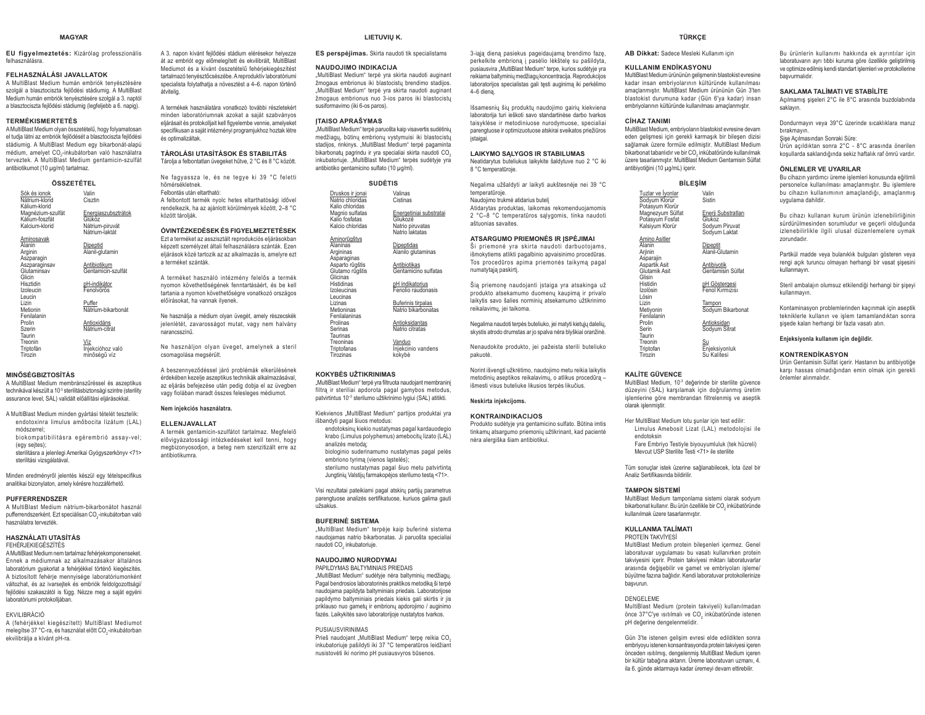#### **MAGYAR**

**EU figyelmeztetés:** Kizárólag professzionális felhasználásra.

szolgál a blasztociszta feilődési stádiumig. A MultiBlast Medium humán embriók tenyésztésére szolgál a 3. naptól a blasztociszta fejlődési stádiumig (legfeljebb a 6. napig).

## **TERMÉKISMERTETÉS**

A MultiBlast Medium olyan összetételű, hogy folyamatosan HOW HOW HOW HOW CONTROLLED HIS ANDREW CONTROLLED TO A BUILDING THE USE OF THE USE OF THE USE OF THE USE OF THE USE OF THE USE OF THE USE OF THE USE OF THE USE OF THE USE OF THE USE OF THE USE OF THE USE OF THE USE OF THE U stádiumig. A MultiBlast Medium egy bikarbonát-alapú médium, amelyet CO<sub>2</sub>-inkubátorban való használatra terveztek. A MultiBlast Medium gentamicin-szulfát antibiotikumot (10 μg/ml) tartalmaz.

**ÖSSZETÉTEL**

| 7332EIEIEL                                            |                                                                    |  |
|-------------------------------------------------------|--------------------------------------------------------------------|--|
| Sók és ionok<br>Nátrium-klorid<br>Kálium-klorid       | Valin<br>Cisztin                                                   |  |
| Magnézium-szulfát<br>Kálium-foszfát<br>Kalcium-klorid | Energiaszubsztrátok<br>Glükóz<br>Nátrium-piruvát<br>Nátrium-laktát |  |
| Aminosavak<br>Alanin<br>Arginin<br>Aszparagin         | Dipeptid<br>Alanil-glutamin                                        |  |
| Aszparaginsav<br>Glutaminsav<br>Glicin                | Antibiotikum<br>Gentamicin-szulfát                                 |  |
| Hisztidin<br>Izoleucin<br>Leucin                      | pH-indikátor<br>Fenolvörös                                         |  |
| Lizin<br>Metionin<br>Fenilalanin                      | Puffer<br>Nátrium-bikarbonát                                       |  |
| Prolin<br>Szerin<br>Taurin                            | Antioxidáns<br>Nátrium-citrát                                      |  |
| Treonin<br>Triptofán<br>Tirozin                       | Víz<br>Injekcióhoz való<br>minőségű víz                            |  |
|                                                       |                                                                    |  |

#### **MINŐSÉGBIZTOSÍTÁS**

A MultiBlast Medium membránszűréssel és aszeptikus technikával készült a 10<sup>-3</sup> sterilitásbiztonsági szintre (sterility assurance level. SAL) validált előállítási eljárásokkal.

- A MultiBlast Medium minden gyártási tételét tesztelik:  $endotoxinra$  limulus amõbocita lizátum (LAL) módszerrel;
- biokompatibilitásra egérembrió assay-vel; (eav seites):

sterilitásra a jelenlegi Amerikai Gyógyszerkönyv <71> sterilitási vizsgálatával.

Minden eredményről jelentés készül egy tételspecifikus analitikai bizonylaton, amely kérésre hozzáférhető.

### **PUFFERRENDSZER**

 A MultiBlast Medium nátrium-bikarbonátot használ pufferrendszerként. Ezt speciálisan CO<sub>2</sub>-inkubátorban való .<br>használatra tervezték

## **HASZNÁLATI UTASÍTÁS**

FEHÉRJEKIEGÉSZÍTÉSA MultiBlast Medium nem tartalmaz fehérjekomponenseket. Ennek a médiumnak az alkalmazásakor általános laboratórium gyakorlat a fehérjékkel történő kiegészítés. A biztosított fehérje mennyisége laboratóriumonként változhat, és az ivarseitek és embriók feldolgozottsági/ fejlődési szakaszától is függ. Nézze meg a saját egyéni laboratóriumi protokolljában

#### EKVILIBRÁCIÓ

A (fehérjékkel kiegészített) MultiBlast Mediumot melegítse 37 °C-ra, és használat előtt CO<sub>2</sub>-inkubátorban ekvilibrálja a kívánt pH-ra.

A 3. napon kívánt fejlődési stádium elérésekor helyezze át az embriót egy előmelegített és ekvilibrált. MultiBlast Mediumot és a kívánt összetételű fehérjekiegészítést tartalmazó tenvésztőcsészébe. A reproduktív laboratóriumi specialista folytathatia a növesztést a 4-6, napon történő átvitelig.

A termékek használatára vonatkozó további részletekért minden laboratóriumnak azokat a saját szabványos eliárásait és protokolliait kell figyelembe vennie, amelyeket specifikusan a saját intézményi programjukhoz hoztak létre és optimalizáltak.

#### **TÁROLÁSI UTASÍTÁSOK ÉS STABILITÁS**Tárolja a felbontatlan üvegeket hűtve, 2 °C és 8 °C között.

Ne fagyassza le, és ne tegye ki 39 °C feletti hőmérsékletnek Felbontás után eltartható:A felbontott termék nyolc hetes eltarthatósági idővel rendelkezik, ha az ajánlott körülmények között. 2-8 °C között tároliák

## **ÓVINTÉZKEDÉSEK ÉS FIGYELMEZTETÉSEK**

Ezt a terméket az asszisztált reprodukciós eljárásokban képzett személyzet általi felhasználásra szánták. Ezen eliárások közé tartozik az az alkalmazás is, amelyre ezt a terméket szánták.

A terméket használó intézmény felelős a termék nyomon követhetőségének fenntartásáért, és be kell tartania a nyomon követhetőségre vonatkozó országos előírásokat. ha vannak ilvenek.

Ne használja a médium olyan üvegét, amely részecskék jelenlétét, zavarosságot mutat, vagy nem halvány narancsszínű.

Ne használjon olyan üveget, amelynek a steril csomagolása megsérült.

A beszennyeződéssel járó problémák elkerülésének érdekében kezelje aszeptikus technikák alkalmazásával, az eljárás befejezése után pedig dobja el az üvegben vagy fiolában maradt összes felesleges médiumot.

## Nem injekciós használatra

#### **ELLENJAVALLAT**

A termék gentamicin-szulfátot tartalmaz. Megfelelő elővigyázatossági intézkedéseket kell tenni, hogy megbizonyosodjon, a beteg nem szenzitizált erre az antibiotikumra.

biologinio suderinamumo nustatymas pagal pelės embriono tyrimą (vienos ląstelės); sterilumo nustatymas pagal šiuo metu patvirtinta Jungtinių Mastijų farmakopėjos sterilumo testa <71>.

> Visi rezultatai pateikiami pagal atskirų partijų parametrus parengtuose analizės sertifikatuose, kuriuos galima gauti

"MultiBlast Medium" terpė yra filtruota naudojant membraninį filtra ir steriliai apdorota pagal gamybos metodus, patvirtintus 10<sup>-3</sup> sterilumo užtikrinimo lygiui (SAL) atitikti. Kiekvienos "MultiBlast Medium" partijos produktai yra

endotoksinų kiekio nustatymas pagal kardauodegio krabo (Limulus polyphemus) amebocitu lizato (LAL)

**LIETUVIU K. ES perspélimas.** Skirta naudoti tik specialistams

"MultiBlast Medium" terpė yra skirta naudoti auginant žmogaus embrionus iki blastocistu brendimo stadijos. "MultiBlast Medium" terpė vra skirta naudoti auginant žmogaus embrionus nuo 3-ios paros iki blastocistu

MultiBlast Medium" terpė paruošta kaip visavertis sudėtiniu medžiagu, būtinu embrionu vystymuisi iki blastocistu stadijos, rinkinys. "MultiBlast Medium" terpė pagaminta bikarbonatų pagrindu ir yra specialiai skirta naudoti CO<sub>2</sub> inkubatoriuje. "MultiBlast Medium" terpės sudėtyje yra antibiotiko gentamicino sulfato (10 μg/ml).

SUDĖTIS

ValinasCistinas

Energetiniai substratai<br>Gliukozė Natrio piruvatas Natrio laktatas**Dipeptidas** Alanilo glutaminas <u>Antibiotikas</u><br>Gentamicino sulfatas pH indikatorius<br>Fenolio raudonasis Buferinis tirpalas<br>Natrio bikarbonatas Antioksidantas Natrio citratasVanduoInjekcinio vandens kokybė

**NAUDOJIMO INDIKACIJA**

susiformavimo (iki 6-os paros). **ITAISO APRAŠYMAS** 

> Druskos ir jonai Natrio chlorida Kalio chloridas Magnio sulfatas Kalio fosfatas Kalcio chloridas Aminorūgštys Alaninas Argininas **Asparaginas** Asparto rūgštis Glutamo rūgštis Glicinas Histidinas IzoleucinasLeucinas Lizinas Metioninas FenilalaninasProlinasSerinas Taurinas Treoninas Triptofanas Tirozinas

#### **BUFFRINĖ SISTEMA**

užsakius.

"MultiBlast Medium" terpėje kaip buferinė sistema naudojamas natrio bikarbonatas. Ji naruošta specialiai naudoti CO<sub>2</sub> inkubatoriuje.

#### **NAUDOJIMO NURODYMAI**

**KOKYBĖS UŽTIKRINIMAS** 

išbandyti pagal šiuos metodus:

analizės metoda:

 PAPILDYMAS BALTYMINIAIS PRIEDAIS"MultiBlast Medium" sudėtyje nėra baltyminių medžiagų. Pagal bendrosios laboratorinės praktikos metodika ši terpė naudoiama papildyta baltyminiais priedais. Laboratorijose papildymo baltyminiais priedais kiekis gali skirtis ir iis priklauso nuo gametų ir embrionų apdorojimo / auginimo iazės. Laikykitės savo laboratorijoje nustatytos tvarkos.

### PUSIAUSVIRINIMAS

Prieš naudojant "MultiBlast Medium" terpę reikia CO<sub>2</sub> inkubatoriuje pašildyti iki 37 °C temperatūros leidžiant nusistovėti iki norimo pH pusiausvyros būsenos.

3-jaja diena pasiekus pageidaujama brendimo faze perkelkite embriona i paselio lekštele su pašildvta. pusiausvira "MultiBlast Medium" terpe, kurios sudėtyje yra reikiama baltyminių medžiagų koncentracija. Reprodukcijos laboratorijos specialistas gali testi auginima iki perkėlimo 4-6 diena.

Išsamesnių šių produktų naudojimo gairių kiekviena laboratorija turi ješkoti savo standartinėse darbo tvarkos taisyklėse ir metodiniuose nurodymuose, specialiai parengtuose ir optimizuotuose atskirai sveikatos priežiūros istaigai.

#### **LAIKYMO SALYGOS IR STABILUMAS** Neatidarytus buteliukus laikykite šaldytuve nuo 2 °C iki

8 °C temperatūroje

Negalima užšaldyti ar laikyti aukštesnėje nei 39 °C temperatūroje. Naudojimo trukmė atidarius buteli Atidarytas produktas, laikomas rekomenduojamomis 2 °C-8 °C temperatūros sąlygomis, tinka naudoti aštuonias savaites

## **ATSARGUMO PRIEMONĖS IR ISPĖJIMAI**

Ši nriemonė vra skirta naudoti darbuotojams išmokytiems atlikti pagalbinio apvaisinimo procedūras. Tos procedūros apima priemonės taikymą pagal numatytają naskirti

Šią priemonę naudojanti įstaiga yra atsakinga už produkto atsekamumo duomenų kaupima ir privalo Delikytis savo šalies norminiu atsekamumo užtikrinimo reikalavimų, jei taikoma.

Negalima naudoti terpės buteliuko, jei matyti kietųjų dalelių, skystis atrodo drumstas ar jo spalva nėra blyškiai oranžinė.

Nenaudokite produkto, jei pažeista sterili buteliuko pakuotė.

Norint išvengti užkrėtimo, naudojimo metu reikia laikytis metodiniu aseptikos reikalavimu, o atlikus procedūra išmesti visus buteliuke likusios terpės likučius.

### **Neskirta injekcijoms.**

#### **KONTRAINDIKACIJOS**

nėra alergiška šiam antibiotikui.

Produkto sudėtyje yra gentamicino sulfato. Būtina imtis tinkamu atsargumo priemonių užtikrinant, kad pacientė Her MultiRlast Medium lotu sunlar icin test edilir endotoksin

Tüm sonuçlar istek üzerine sağlanabilecek, lota özel bir

#### **TAMPON SISTEMI**

MultiBlast Medium tamponlama sistemi olarak sodyum

#### **KULLANMA TALİMATI**

PROTEIN TAKVIYESİ

#### DENGELEME

MultiBlast Medium (protein takviyeli) kullanılmadan önce 37°C'ye ısıtılmalı ve CO<sub>2</sub> inkübatöründe istenen pH değerine dengelenmelidir.

Gün 3'te istenen gelişim evresi elde edildikten sonra embriyoyu istenen konsantrasyonda protein takviyesi içeren önceden ısıtılmış, dengelenmiş MultiBlast Medium içeren bir kültür tabağına aktarın. Üreme laboratuvarı uzmanı. 4. ila 6. günde aktarmaya kadar üremeyi devam ettirebilir.

Bu ürünlerin kullanımı hakkında ek ayrıntılar için lahoratuvarın ayrı tibbi kuruma göre özellikle geliştirilmiş ve optimize edilmiş kendi standart işlemleri ve protokollerine hasvurmalıdır

#### **SAKLAMA TALİMATI VE STABİLİTE**

Açılmamış şişeleri 2°C ile 8°C arasında buzdolabında saklavin

Dondurmayın yeya 39°C üzerinde sıcaklıklara maruz birakmayin.

Sise Acılmasından Sonraki Süre: Ürün açıldıktan sonra 2°C - 8°C arasında önerilen Kosullarda saklandığında sekiz haftalık raf ömrü vardır.

## **ÖNLEMLER VE UYARILAR**

Bu cihazın yardımcı üreme işlemleri konusunda eğitimli personelce kullanılması amaçlanmıştır. Bu işlemlere bu cihazın kullanımının amaçlandığı, amaçlanmış uygulama dahildir.

Bu cihazı kullanan kurum ürünün izlenebilirliğinin sürdürülmesinden sorumludur ve geçerli olduğunda izlenebilirlikle ilgili ulusal düzenlemelere uymak zorundadır.

Partikül madde veya bulanıklık bulguları gösteren veya rengi açık turuncu olmayan herhangi bir vasat şişesini kullanmavin

kullanmavin.

Kontaminasyon problemlerinden kaçınmak için aseptik tekniklerle kullanın ve islem tamamlandıktan sonra sisede kalan herhangi bir fazla vasatı atın.

#### Enjeksiyonla kullanım için değildir.

#### **KONTRENDİKASYON**

Ürün Gentamisin Sülfat içerir. Hastanın bu antibiyotiğe karsı hassas olmadığından emin olmak için gerekli önlemler alınmalıdır

Glukoz Sodyum Piruvat Sodyum Laktat Dipeptit Alanil-Glutamin<u>Antibiyotik</u><br>Gentamisin Sülfat

# Steril ambalajın olumsuz etkilendiği herhangi bir şişeyi

Lösin Lizin Metiyonin FenilalaninProlin<u>Tampon</u><br>Sodyum Bikarbonat <u>Antioksidan</u><br>Sodyum Sitrat

**TÜRKÇE AB Dikkat:** Sadece Mesleki Kullanım için **KULLANIM ENDİKASYONU** 

MultiBlast Medium ürününün gelişmenin blastokist evresine kadar insan embrivolarının kültüründe kullanılması amaçlanmıştır. MultiBlast Medium ürününün Gün 3'ten .<br>blastokist durumuna kadar (Gün 6'ya kadar) insan embrivolarının kültüründe kullanılması amaclanmıştır

MultiBlast Medium, embriyoların blastokist evresine devam HELL LOCATED HELLOW LOCATED HELLOW THE LOCATED HELLOW CONTROL DUE OF THE GLOBAL BURGHOUSE COMPUTERS IN A CHARGE GLOBAL COMPUTERS OF THE GLOBAL COMPUTERS OF THE GLOBAL COMPUTERS OF THE GLOBAL COMPUTERS OF THE GLOBAL COMPUTE sağlamak üzere formüle edilmiştir. MultiBlast Medium bikarbonat tabanlıdır ve bir CO. inkübatöründe kullanılmak üzere tasarlanmıştır. MultiBlast Medium Gentamisin Sülfat

**BU ESIM** 

Valin SistinEnerji Substratları

pH Göstergesi<br>Fenol Kırmızısı

 $C<sup>i</sup>HAY TANIMI$ 

antibiyotiğini (10 µq/mL) içerir.

Tuzlar ve İyonlar Sodyum Klorür Potasyum Klorür Magnezyum Sülfat Potasyum Fosfat Kalsiyum Klorür Amino Asitler AlaninArjinin Asparaiin Aspartik Asit Glutamik AsitGlisin Histidin amonom:<br>Izolösin

Serin Taurin**Treonin**  Triptofan Tirozin<u>Su</u><br>Enjeksiyonluk Su Kalitesi

#### **KALİTE GÜVENCE**

MultiBlast Medium, 10<sup>-3</sup> değerinde bir sterilite güvence düzevini (SAL) karsılamak için doğrulanmış üretim islemlerine göre membrandan filtrelenmis ve aseptik olarak islenmistir.

Limulus Amebosit Lizat (LAL) metodolojisi ile Fare Embriyo Testiyle biyouyumluluk (tek hücreli)

Mevcut USP Sterilite Testi <71> ile sterilite

Analiz Sertifikasında bildirilir.

bikarbonat kullanır. Bu ürün özellikle bir CO. inkübatöründe kullanılmak üzere tasarlanmıştır.

0.<br>MultiBlast Medium protein bileşenleri içermez. Genel laboratuvar uygulaması bu vasatı kullanırken protein takviyesini içerir. Protein takviyesi miktarı laboratuvarlar arasında değisebilir ve gamet ve embriyoları islemel büyütme fazına bağlıdır. Kendi laboratuvar protokollerinize

basvurun.

## **FELHASZNÁLÁSI JAVALLATOK**

A MultiBlast Medium humán embriók tenyésztésére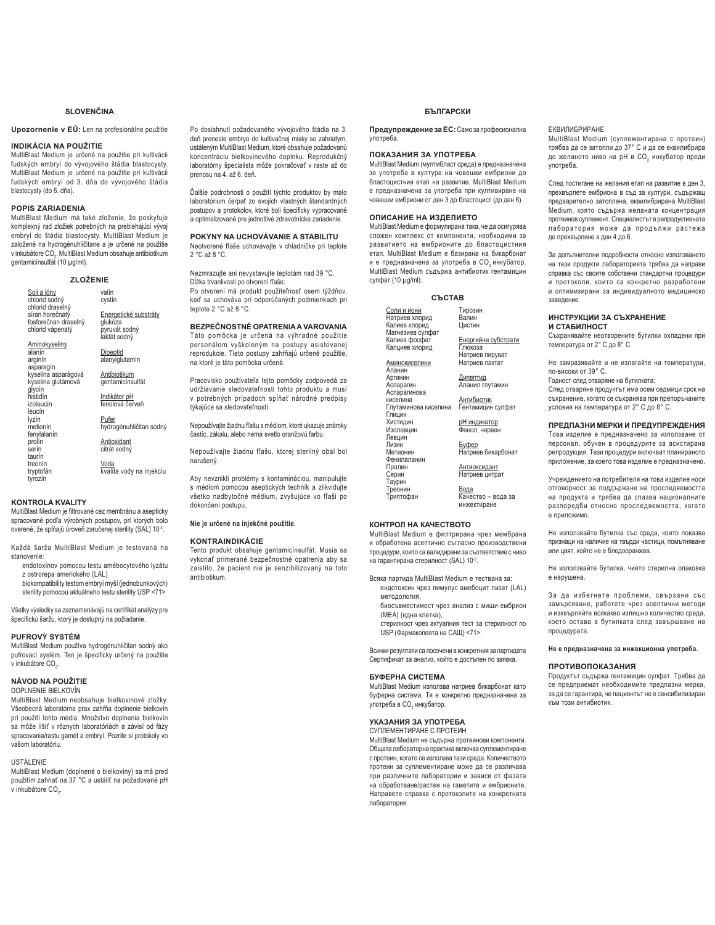## **SLOVENČINA**

## Upozornenie v EÚ: Len na profesionálne použitie

#### **INDIKÁCIA NA POUŽITIE**

MultiBlast Medium je určené na použitie pri kultivácii ľudských embryí do vývojového štádia blastocysty. MultiBlast Medium je určené na použitie pri kultivácii ľudských embryí od 3. dňa do vývojového štádia blastocysty (do 6. dňa).

## **POPIS ZARIADENIA**

od 100 m.m.<br>MultiBlast Medium má také zloženie, že poskytuje komplexný rad zložiek potrebných na prebiehajúci vývoj embryí do štádia blastocysty. MultiBlast Medium je<br>založené na hydrogénuhličitane a je určené na použitie v inkubátore CO<sub>2</sub>. MultiBlast Medium obsahuje antibiotikum gentamicínsulfát (10 μg/ml).

## **=/2ä(1,(**

| <u>Soli a ióny</u><br>chlorid sodný<br>chlorid draselný     | valín<br>cystín                                                   |
|-------------------------------------------------------------|-------------------------------------------------------------------|
| síran horečnatý<br>fosforečnan draselný<br>chlorid vápenatý | Energetické substráty<br>glukóza<br>pyruvát sodný<br>laktát sodný |
| <b>Aminokyseliny</b><br>alanín<br>arginín<br>asparagín      | Dipeptid<br>alanylglutamín                                        |
| kyselina asparágová<br>kyselina glutámová<br>qlycín         | Antibiotikum<br>gentamicínsulfát                                  |
| histidín<br>izoleucín<br>leucín                             | Indikátor pH<br>fenolová červeň                                   |
| lyzín<br>metionín<br>fenylalanín                            | Pufer<br>hydrogénuhličitan sodný                                  |
| prolín<br>serín<br>taurín                                   | Antioxidant<br>citrát sodný                                       |
| treonín<br>tryptofán<br>tyrozín                             | Voda<br>kvalita vody na injekciu                                  |
|                                                             |                                                                   |

## **KONTROLA KVALITY**

MultiBlast Medium je filtrované cez membránu a asepticky spracované podľa výrobných postupov, pri ktorých bolo overené, že spĺňajú úroveň zaručenej sterility (SAL) 10<sup>-3</sup>.

Každá šarža MultiBlast Medium je testovaná na stanovenie:

- endotoxínov pomocou testu amébocytového lyzátu z ostrorepa amerického (LAL) biokompatibility testom embryí myší (jednobunkových)
- sterility pomocou aktuálneho testu sterility USP <71>

Všetky výsledky sa zaznamenávajú na certifikát analýzy pre špecifickú šaržu, ktorý je dostupný na požiadanie.

### **PUFROVÝ SYSTÉM**

MultiBlast Medium používa hydrogénuhličitan sodný ako pufrovací systém. Ten je špecificky určený na použitie v inkubátore CO<sub>2</sub>.

## **NÁVOD NA POUŽITIE**

DOPLNENIE BIELKOVÍN

MultiBlast Medium neobsahuje bielkovinové zložky. Všeobecná laboratórna prax zahŕňa doplnenie bielkovín pri použití tohto média. Množstvo doplnenia bielkovín sa môže líšiť v rôznych laboratóriách a závisí od fázy spracovania/rastu gamét a embryí. Pozrite si protokoly vo vašom laboratóriu

#### USTÁLENIE

MultiBlast Medium (doplnené o bielkoviny) sa má pred použitím zahriať na 37 °C a ustáliť na požadované pH v inkubátore CO<sub>2</sub>.

Po dosiahnutí požadovaného vývojového štádia na 3. deň preneste embryo do kultivačnej misky so zahriatym, ustáleným MultiBlast Medium, ktoré obsahuje požadovanú koncentráciu bielkovinového doplnku. Reprodukčný laboratórny špecialista môže pokračovať v raste až do prenosu na 4 až 6 deň

Ďalšie podrobnosti o použití týchto produktov by malo laboratórium čerpať zo svojich vlastných štandardných postupov a protokolov, ktoré boli špecificky vypracované a optimalizované pre jednotlivé zdravotnícke zariadenie.

## **POKYNY NA UCHOVÁVANIE A STABILITU**

Neotvorené fľaše uchovávajte v chladničke pri teplote 2 °C až 8 °C.

Nezmrazujte ani nevystavujte teplotám nad 39 °C. Dĺžka trvanlivosti po otvorení fľaše: Po otvorení má produkt použiteľnosť osem týždňov, keď sa uchováva pri odporúčaných podmienkach pri teplote 2 °C až 8 °C.

**BEZPEČNOSTNÉ OPATRENIA A VAROVANIA** Táto pomôcka je určená na výhradné použitie personálom vyškoleným na postupy asistovanej reprodukcie. Tieto postupy zahŕňajú určené použitie, na ktoré je táto pomôcka určená.

Pracovisko používateľa tejto pomôcky zodpovedá za udržiavanie sledovateľnosti tohto produktu a musí v potrebných prípadoch spĺňať národné predpisy týkajúce sa sledovateľnosti.

Nepoužívajte žiadnu fľašu s médiom, ktoré ukazuje známky častíc, zákalu, alebo nemá svetlo oranžovú farbu.

Nepoužívajte žiadnu fľašu, ktorej sterilný obal bol narušený

Aby nevznikli problémy s kontamináciou, manipulujte s médiom pomocou aseptických techník a zlikvidujte všetko nadbytočné médium, zvyšujúce vo fľaši po dokončení postupu

#### Nie je určené na injekčné použitie.

## **KONTRAINDIKÁCIE**

Tento produkt obsahuje gentamicínsulfát. Musia sa<br>vykonať primerané bezpečnostné opatrenia aby sa zaistilo, že pacient nie je senzibilizovaný na toto antibiotikum.

**БЪЛГАРСКИ** 

Предупреждение за ЕС: Само за професионална vnoтpeбa

## ПОКАЗАНИЯ ЗА УПОТРЕБА

MultiBlast Medium (мултибласт среда) е предназначена за употреба в култура на човешки ембриони до бластоцистния етап на развитие. MultiBlast Medium е предназначена за употреба при култивиране на човешки ембриони от ден 3 до бластоцист (до ден 6).

## ОПИСАНИЕ НА ИЗЛЕПИЕТО

MultiBlast Medium е формулирана така, че да осигурява cnoжен комплекс от компоненти необходими за развитието на ембрионите до бластоцистния .<br>етап. MultiBlast Medium е базирана на бикарбонат и е предназначена за употреба в СО, инкубатор. MultiBlast Medium съдържа антибиотик гентамицин cvлфат (10 µg/ml).

C**LCTAR** 

Енергийни субстрати Глюкоза<br>Натриев пируват

<u>Дипептид</u><br>Аланил глутамин <u>Антибиотик</u><br>Гентамицин сулфат рН индикатор Фенол, червен <u>Буфер</u><br>Натриев бикарбонат

<u>Антиоксидант</u><br>Натриев цитрат <u>Вода</u><br>Качество – вода за

| Соли и йони<br>Натриев хлорид<br>Калиев хлорид      | Тирозин<br>Валин<br>Цистин            |
|-----------------------------------------------------|---------------------------------------|
| Магнезиев сулфат<br>Калиев фосфат<br>Калциев хлорид | Енергийни субс<br>Глюкоза             |
| <u>Аминокиселини</u><br>Аланин                      | Натриев пирува<br>Натриев лактат      |
| Аргинин<br>Аспарагин<br>Аспарагинова                | Дипептид<br>Аланил глутами            |
| киселина<br>Глутаминова киселина<br>Глицин          | Антибиотик<br>Гентамицин сул          |
| Хистидин<br>Изолевцин                               | <u>рН индикатор</u><br>Фенол, червен  |
| Левцин<br>Лизин<br>Метионин                         | <u>Буфер</u><br>Натриев бикарб        |
| Фенилаланин<br>Пролин<br>Серин                      | Антиоксидант<br>Натриев цитрат        |
| Таурин<br>Треонин<br>Триптофан                      | Вода<br>Качество - вод<br>инжектиране |
|                                                     |                                       |

## **KOHTPON HA KAYECTROTO**

MultiBlast Medium е филтрирана чрез мембрана и обработена асептично съгласно производствени процедури, които са валидирани за съответствие с ниво на гарантирана стерилност (SAL) 10<sup>-3</sup>.

Всяка партида MultiBlast Medium е тествана за:

- ендотоксин чрез лимулус амебоцит лизат (LAL) Metononorus биосъвместимост чрез анализ с миши ембрион
- (МЕА) (една клетка),
- стерилност чрез актуалния тест за стерилност по USP (Фармакопеята на САЩ) <71>.

Всички резултати са посочени в конкретния за партидата Сертификат за анализ, който е достъпен по заявка.

#### **ҔѴФЕРНА СИСТЕМА**

MultiBlast Medium използва натриев бикарбонат като буферна система. Тя е конкретно предназначена за употреба в СО<sub>2</sub> инкубатор.

### УКАЗАНИЯ ЗА УПОТРЕБА

СУПЛЕМЕНТИРАНЕ С ПРОТЕИН MultiBlast Medium не съдържа протеинови компоненти. Обшата лабораторна практика включва суплементиране с протеин, когато се използва тази среда. Количеството протеин за суплементиране може да се различава при различните лаборатории и зависи от фазата на обработване/растеж на гаметите и ембрионите. Направете справка с протоколите на конкретната THE FEE OF

## ЕКВИЛИБРИРАНЕ

MultiBlast Medium (суплементирана с протеин) трябва да се затопли до 37° С и да се еквилибрира до желаното ниво на pH в CO<sub>2</sub> инкубатор преди употреба.

Cлед постигане на желания етап на развитие в ден 3. прехвърлете ембриона в съд за култури, съдържащ предварително затоплена, еквилибрирана MultiBlast Мedium, която съдържа желаната концентрация протеинов суплемент. Специалистът в репродуктивната лаборатория може да продължи растежа до прехвърляне в ден 4 до 6.

За допълнителни подробности относно използването на тези продукти лабораторията трябва да направи споавка със своите собствени стандартни процедури и протоколи, които са конкретно разработени и оптимизирани за индивидуалното медицинско ɡɚɜɟɞɟɧɢɟ

#### ИНСТРУКЦИИ ЗА СЪХРАНЕНИЕ **И СТАБИЛНОСТ**

Съхранявайте неотворените бутилки охладени при температура от 2° С до 8° С.

Не замразявайте и не излагайте на температури, ΠΟ-RACOKA OT 39° C

Годност след отваряне на бутилката:

След отваряне продуктът има осем седмици срок на съхранение, когато се съхранява при препоръчаните условия на температура от 2° С до 8° С.

## ПРЕДПАЗНИ МЕРКИ И ПРЕДУПРЕЖДЕНИЯ

Това изделие е предназначено за използване от персонал, обучен в процедурите за асистирана репродукция. Тези процедури включват планираното приложение, за което това изделие е предназначено.

Учреждението на потребителя на това изделие носи отговорност за поддържане на проследяемостта на продукта и трябва да спазва националните разпоредби относно проследяемостта, когато е приложимо.

Не използвайте бутилка със среда, която показва признаци на наличие на твърди частици, помътняване или цвят, който не е бледооранжев.

Не използвайте бутилка, чиято стерилна опаковка е нарушена.

За да избегнете проблеми, свързани със замърсяване, работете чрез асептични методи и изхвърляйте всякакво излишно количество среда, което остава в бутилката след завършване на процедурата.

## Не е предназначена за инжекционна употреба.

## ПРОТИВОПОКАЗАНИЯ

Продуктът съдържа гентамицин сулфат. Трябва да се предприемат необходимите предпазни мерки, за да се гарантира, че пациентът не е сенсибилизиран към този антибиотик.